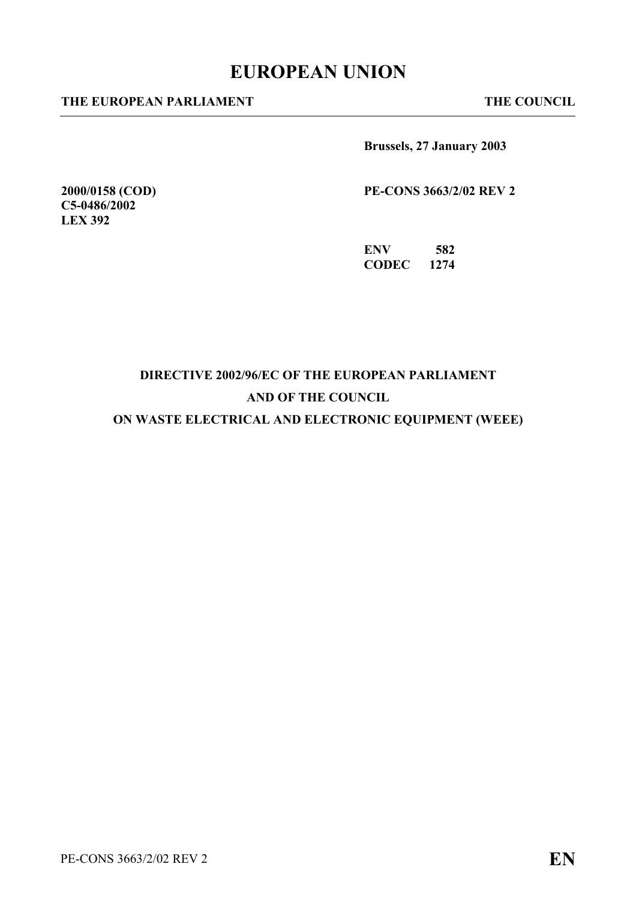# **EUROPEAN UNION**

#### **THE EUROPEAN PARLIAMENT THE COUNCIL**

**2000/0158 (COD) C5-0486/2002 LEX 392** 

**Brussels, 27 January 2003** 

**PE-CONS 3663/2/02 REV 2** 

**ENV 582 CODEC 1274** 

# **DIRECTIVE 2002/96/EC OF THE EUROPEAN PARLIAMENT AND OF THE COUNCIL**

**ON WASTE ELECTRICAL AND ELECTRONIC EQUIPMENT (WEEE)**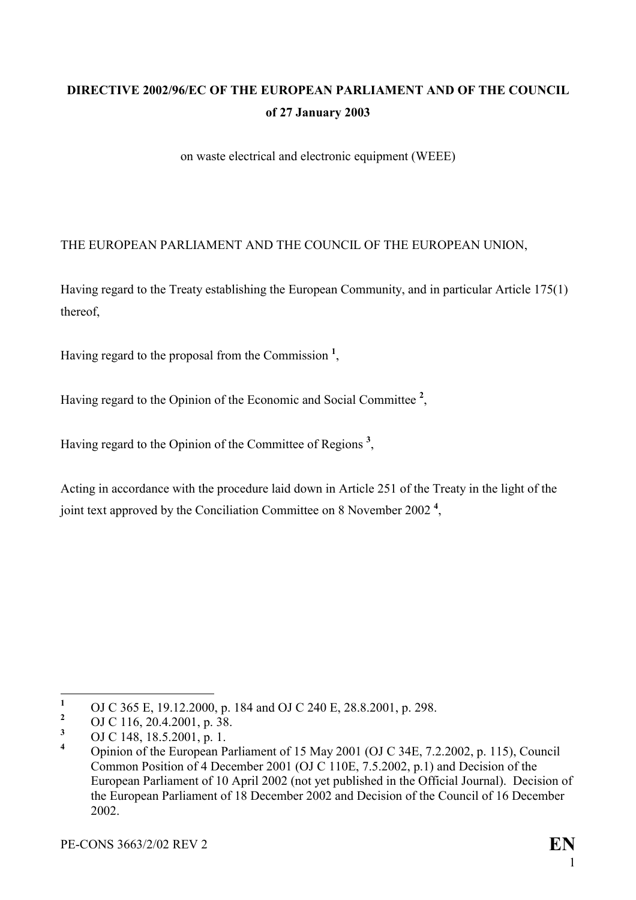# **DIRECTIVE 2002/96/EC OF THE EUROPEAN PARLIAMENT AND OF THE COUNCIL of 27 January 2003**

on waste electrical and electronic equipment (WEEE)

#### THE EUROPEAN PARLIAMENT AND THE COUNCIL OF THE EUROPEAN UNION,

Having regard to the Treaty establishing the European Community, and in particular Article 175(1) thereof,

Having regard to the proposal from the Commission **<sup>1</sup>** [,](#page-1-0)

Having regard to the Opinion of the Economic and Social Committee **[2](#page-1-1)** ,

Having regard to the Opinion of the Committee of Regions **[3](#page-1-2)** ,

Acting in accordance with the procedure laid down in Article 251 of the Treaty in the light of the joint text approved by the Conciliation Committee on 8 November 2002 **[4](#page-1-3)** ,

<span id="page-1-0"></span> $\mathbf{1}$ <sup>1</sup> OJ C 365 E, 19.12.2000, p. 184 and OJ C 240 E, 28.8.2001, p. 298.

<span id="page-1-1"></span><sup>&</sup>lt;sup>2</sup> OJ C 116, 20.4.2001, p. 38.

<span id="page-1-2"></span>**<sup>3</sup>** OJ C 148, 18.5.2001, p. 1.

<span id="page-1-3"></span>**<sup>4</sup>** Opinion of the European Parliament of 15 May 2001 (OJ C 34E, 7.2.2002, p. 115), Council Common Position of 4 December 2001 (OJ C 110E, 7.5.2002, p.1) and Decision of the European Parliament of 10 April 2002 (not yet published in the Official Journal). Decision of the European Parliament of 18 December 2002 and Decision of the Council of 16 December 2002.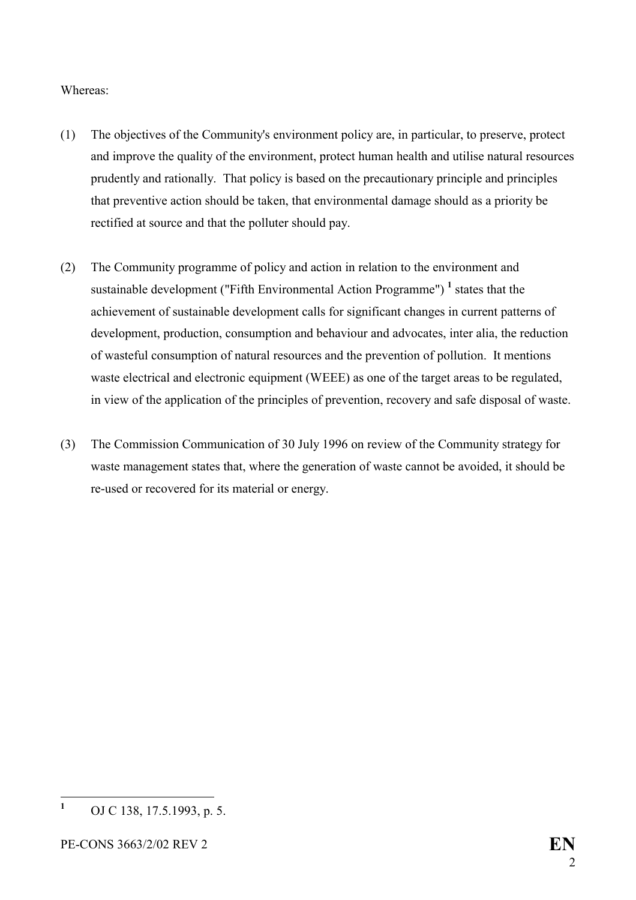#### Whereas:

- (1) The objectives of the Community's environment policy are, in particular, to preserve, protect and improve the quality of the environment, protect human health and utilise natural resources prudently and rationally. That policy is based on the precautionary principle and principles that preventive action should be taken, that environmental damage should as a priority be rectified at source and that the polluter should pay.
- (2) The Community programme of policy and action in relation to the environment and sustainable development ("Fifth Environmental Action Programme")<sup>1</sup> [s](#page-2-0)tates that the achievement of sustainable development calls for significant changes in current patterns of development, production, consumption and behaviour and advocates, inter alia, the reduction of wasteful consumption of natural resources and the prevention of pollution. It mentions waste electrical and electronic equipment (WEEE) as one of the target areas to be regulated, in view of the application of the principles of prevention, recovery and safe disposal of waste.
- (3) The Commission Communication of 30 July 1996 on review of the Community strategy for waste management states that, where the generation of waste cannot be avoided, it should be re-used or recovered for its material or energy.

<span id="page-2-0"></span> **1** OJ C 138, 17.5.1993, p. 5.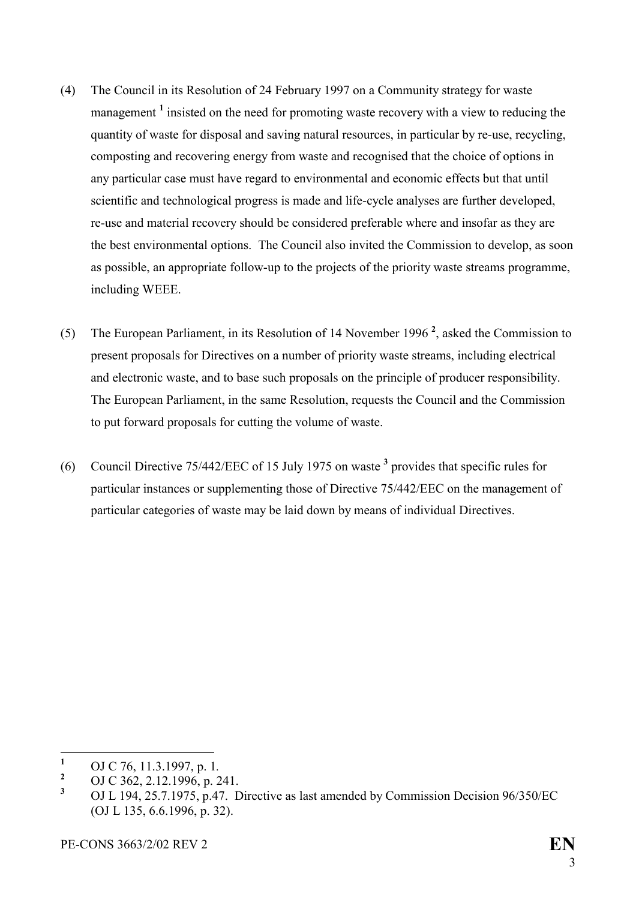- (4) The Council in its Resolution of 24 February 1997 on a Community strategy for waste management<sup>[1](#page-3-0)</sup> insisted on the need for promoting waste recovery with a view to reducing the quantity of waste for disposal and saving natural resources, in particular by re-use, recycling, composting and recovering energy from waste and recognised that the choice of options in any particular case must have regard to environmental and economic effects but that until scientific and technological progress is made and life-cycle analyses are further developed, re-use and material recovery should be considered preferable where and insofar as they are the best environmental options. The Council also invited the Commission to develop, as soon as possible, an appropriate follow-up to the projects of the priority waste streams programme, including WEEE.
- (5) The European Parliament, in its Resolution of 14 November 1996 **[2](#page-3-1)** , asked the Commission to present proposals for Directives on a number of priority waste streams, including electrical and electronic waste, and to base such proposals on the principle of producer responsibility. The European Parliament, in the same Resolution, requests the Council and the Commission to put forward proposals for cutting the volume of waste.
- (6) Council Directive 75/442/EEC of 15 July 1975 on waste **[3](#page-3-2)** provides that specific rules for particular instances or supplementing those of Directive 75/442/EEC on the management of particular categories of waste may be laid down by means of individual Directives.

<span id="page-3-0"></span> **1** OJ C 76, 11.3.1997, p. 1*.* **<sup>2</sup>**

<span id="page-3-1"></span>OJ C 362, 2.12.1996, p. 241.

<span id="page-3-2"></span>**<sup>3</sup>** OJ L 194, 25.7.1975, p.47. Directive as last amended by Commission Decision 96/350/EC (OJ L 135, 6.6.1996, p. 32).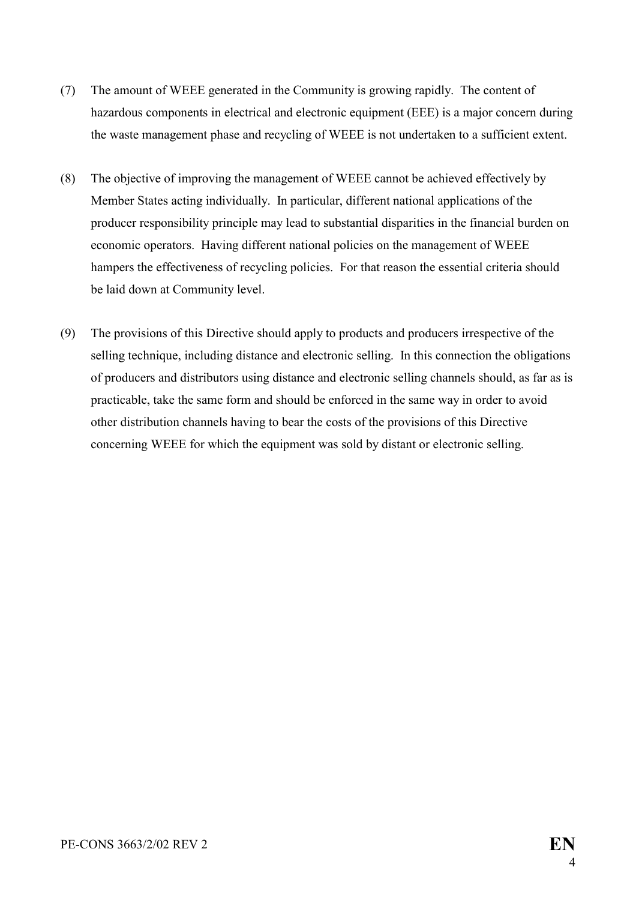- (7) The amount of WEEE generated in the Community is growing rapidly. The content of hazardous components in electrical and electronic equipment (EEE) is a major concern during the waste management phase and recycling of WEEE is not undertaken to a sufficient extent.
- (8) The objective of improving the management of WEEE cannot be achieved effectively by Member States acting individually. In particular, different national applications of the producer responsibility principle may lead to substantial disparities in the financial burden on economic operators. Having different national policies on the management of WEEE hampers the effectiveness of recycling policies. For that reason the essential criteria should be laid down at Community level.
- (9) The provisions of this Directive should apply to products and producers irrespective of the selling technique, including distance and electronic selling. In this connection the obligations of producers and distributors using distance and electronic selling channels should, as far as is practicable, take the same form and should be enforced in the same way in order to avoid other distribution channels having to bear the costs of the provisions of this Directive concerning WEEE for which the equipment was sold by distant or electronic selling.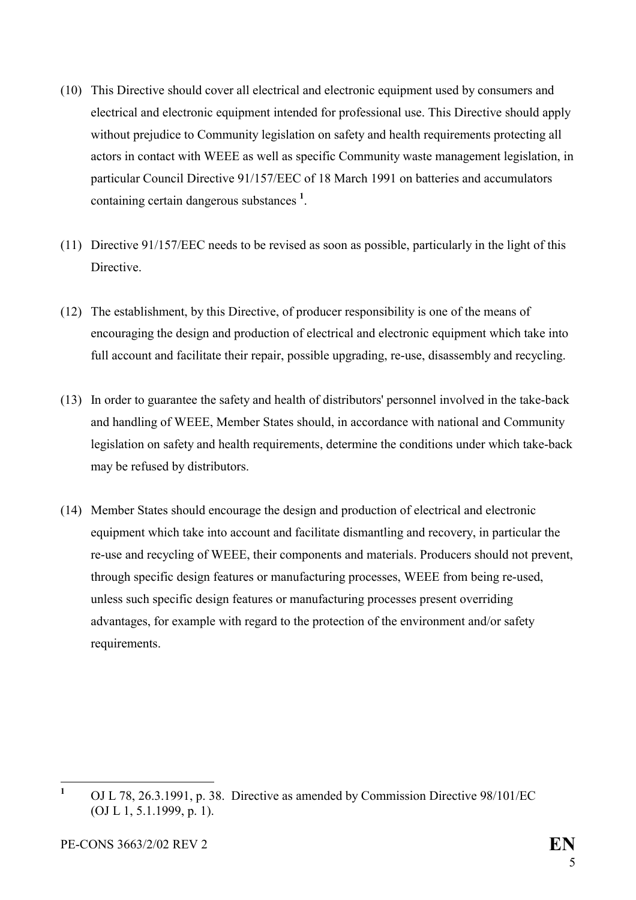- (10) This Directive should cover all electrical and electronic equipment used by consumers and electrical and electronic equipment intended for professional use. This Directive should apply without prejudice to Community legislation on safety and health requirements protecting all actors in contact with WEEE as well as specific Community waste management legislation, in particular Council Directive 91/157/EEC of 18 March 1991 on batteries and accumulators containing certain dangerous substances **<sup>1</sup>** [.](#page-5-0)
- (11) Directive 91/157/EEC needs to be revised as soon as possible, particularly in the light of this Directive.
- (12) The establishment, by this Directive, of producer responsibility is one of the means of encouraging the design and production of electrical and electronic equipment which take into full account and facilitate their repair, possible upgrading, re-use, disassembly and recycling.
- (13) In order to guarantee the safety and health of distributors' personnel involved in the take-back and handling of WEEE, Member States should, in accordance with national and Community legislation on safety and health requirements, determine the conditions under which take-back may be refused by distributors.
- (14) Member States should encourage the design and production of electrical and electronic equipment which take into account and facilitate dismantling and recovery, in particular the re-use and recycling of WEEE, their components and materials. Producers should not prevent, through specific design features or manufacturing processes, WEEE from being re-used, unless such specific design features or manufacturing processes present overriding advantages, for example with regard to the protection of the environment and/or safety requirements.

<span id="page-5-0"></span> $\mathbf{1}$ **<sup>1</sup>** OJ L 78, 26.3.1991, p. 38. Directive as amended by Commission Directive 98/101/EC (OJ L 1, 5.1.1999, p. 1).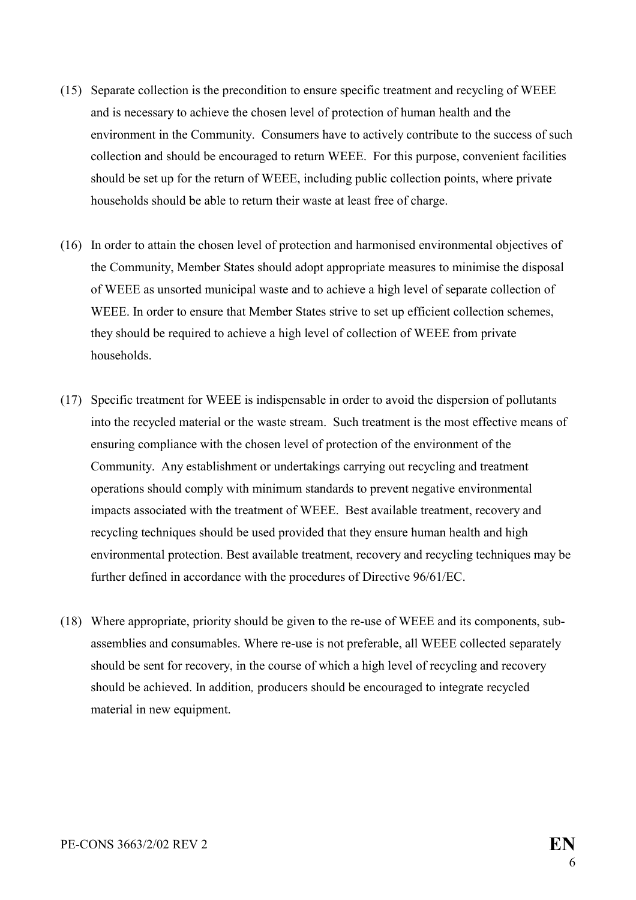- (15) Separate collection is the precondition to ensure specific treatment and recycling of WEEE and is necessary to achieve the chosen level of protection of human health and the environment in the Community. Consumers have to actively contribute to the success of such collection and should be encouraged to return WEEE. For this purpose, convenient facilities should be set up for the return of WEEE, including public collection points, where private households should be able to return their waste at least free of charge.
- (16) In order to attain the chosen level of protection and harmonised environmental objectives of the Community, Member States should adopt appropriate measures to minimise the disposal of WEEE as unsorted municipal waste and to achieve a high level of separate collection of WEEE. In order to ensure that Member States strive to set up efficient collection schemes, they should be required to achieve a high level of collection of WEEE from private households.
- (17) Specific treatment for WEEE is indispensable in order to avoid the dispersion of pollutants into the recycled material or the waste stream. Such treatment is the most effective means of ensuring compliance with the chosen level of protection of the environment of the Community. Any establishment or undertakings carrying out recycling and treatment operations should comply with minimum standards to prevent negative environmental impacts associated with the treatment of WEEE. Best available treatment, recovery and recycling techniques should be used provided that they ensure human health and high environmental protection. Best available treatment, recovery and recycling techniques may be further defined in accordance with the procedures of Directive 96/61/EC.
- (18) Where appropriate, priority should be given to the re-use of WEEE and its components, subassemblies and consumables. Where re-use is not preferable, all WEEE collected separately should be sent for recovery, in the course of which a high level of recycling and recovery should be achieved. In addition*,* producers should be encouraged to integrate recycled material in new equipment.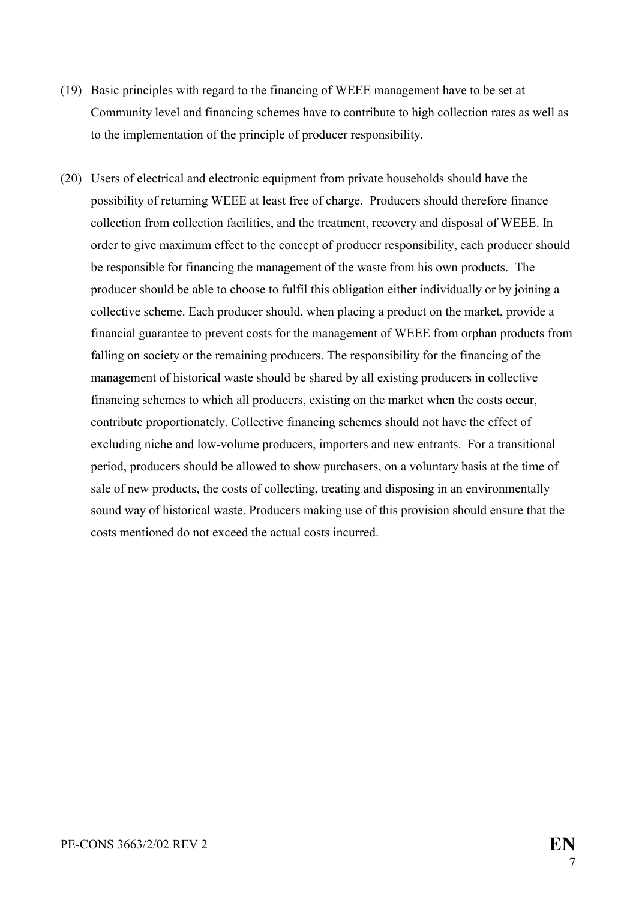- (19) Basic principles with regard to the financing of WEEE management have to be set at Community level and financing schemes have to contribute to high collection rates as well as to the implementation of the principle of producer responsibility.
- (20) Users of electrical and electronic equipment from private households should have the possibility of returning WEEE at least free of charge. Producers should therefore finance collection from collection facilities, and the treatment, recovery and disposal of WEEE. In order to give maximum effect to the concept of producer responsibility, each producer should be responsible for financing the management of the waste from his own products. The producer should be able to choose to fulfil this obligation either individually or by joining a collective scheme. Each producer should, when placing a product on the market, provide a financial guarantee to prevent costs for the management of WEEE from orphan products from falling on society or the remaining producers. The responsibility for the financing of the management of historical waste should be shared by all existing producers in collective financing schemes to which all producers, existing on the market when the costs occur, contribute proportionately. Collective financing schemes should not have the effect of excluding niche and low-volume producers, importers and new entrants. For a transitional period, producers should be allowed to show purchasers, on a voluntary basis at the time of sale of new products, the costs of collecting, treating and disposing in an environmentally sound way of historical waste. Producers making use of this provision should ensure that the costs mentioned do not exceed the actual costs incurred.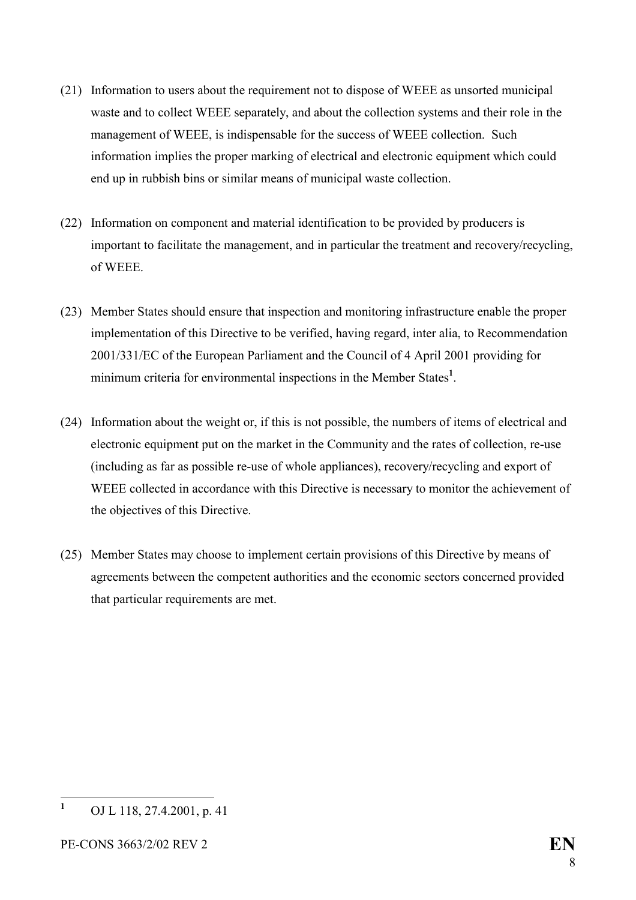- (21) Information to users about the requirement not to dispose of WEEE as unsorted municipal waste and to collect WEEE separately, and about the collection systems and their role in the management of WEEE, is indispensable for the success of WEEE collection. Such information implies the proper marking of electrical and electronic equipment which could end up in rubbish bins or similar means of municipal waste collection.
- (22) Information on component and material identification to be provided by producers is important to facilitate the management, and in particular the treatment and recovery/recycling, of WEEE.
- (23) Member States should ensure that inspection and monitoring infrastructure enable the proper implementation of this Directive to be verified, having regard, inter alia, to Recommendation 2001/331/EC of the European Parliament and the Council of 4 April 2001 providing for minimum criteria for environmental inspections in the Member States<sup>[1](#page-8-0)</sup>.
- (24) Information about the weight or, if this is not possible, the numbers of items of electrical and electronic equipment put on the market in the Community and the rates of collection, re-use (including as far as possible re-use of whole appliances), recovery/recycling and export of WEEE collected in accordance with this Directive is necessary to monitor the achievement of the objectives of this Directive.
- (25) Member States may choose to implement certain provisions of this Directive by means of agreements between the competent authorities and the economic sectors concerned provided that particular requirements are met.

<span id="page-8-0"></span> **1** OJ L 118, 27.4.2001, p. 41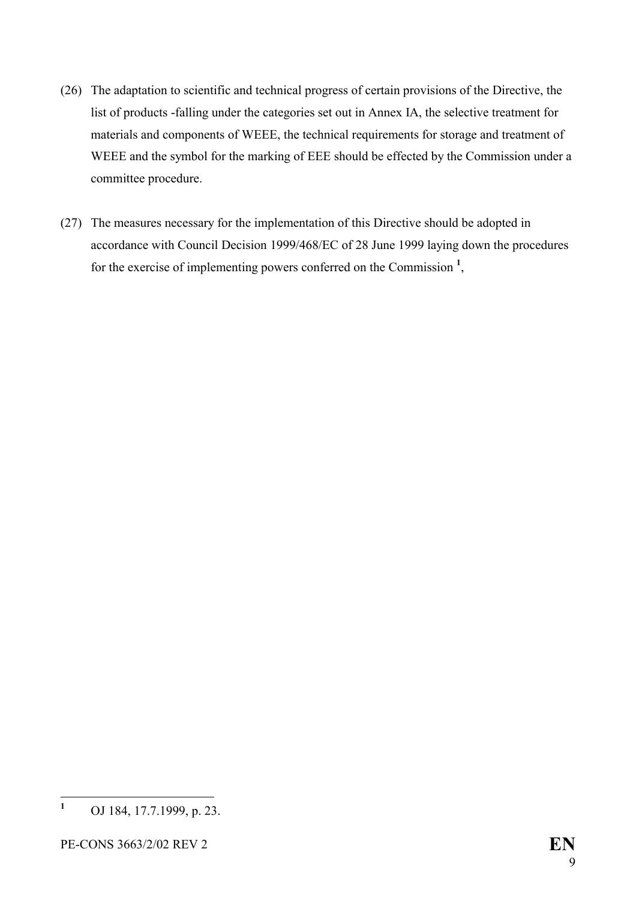- (26) The adaptation to scientific and technical progress of certain provisions of the Directive, the list of products -falling under the categories set out in Annex IA, the selective treatment for materials and components of WEEE, the technical requirements for storage and treatment of WEEE and the symbol for the marking of EEE should be effected by the Commission under a committee procedure.
- (27) The measures necessary for the implementation of this Directive should be adopted in accordance with Council Decision 1999/468/EC of 28 June 1999 laying down the procedures for the exercise of implementing powers conferred on the Commission **[1](#page-9-0)** ,

<span id="page-9-0"></span> **1** OJ 184, 17.7.1999, p. 23.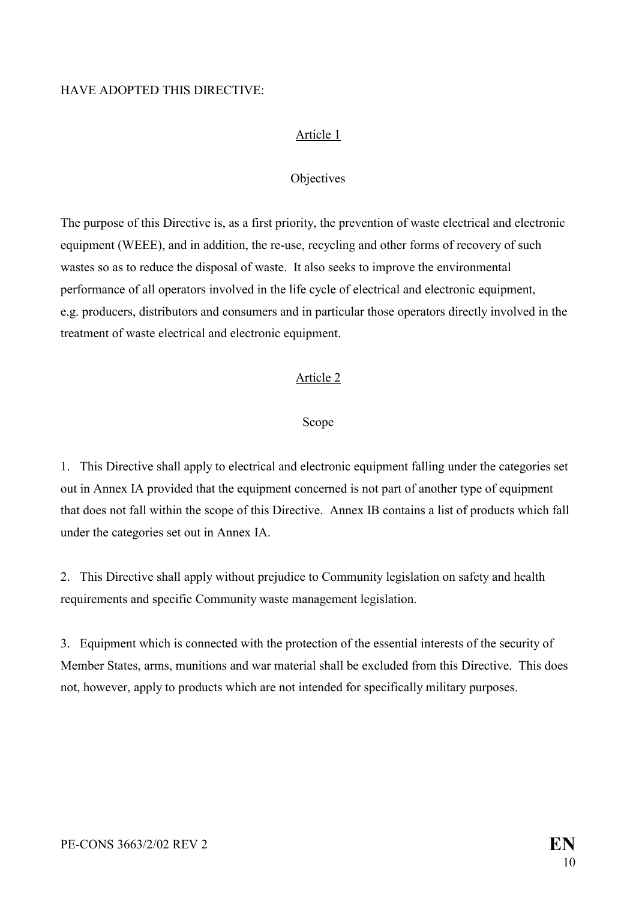#### HAVE ADOPTED THIS DIRECTIVE:

#### Article 1

#### **Objectives**

The purpose of this Directive is, as a first priority, the prevention of waste electrical and electronic equipment (WEEE), and in addition, the re-use, recycling and other forms of recovery of such wastes so as to reduce the disposal of waste. It also seeks to improve the environmental performance of all operators involved in the life cycle of electrical and electronic equipment, e.g. producers, distributors and consumers and in particular those operators directly involved in the treatment of waste electrical and electronic equipment.

#### Article 2

#### Scope

1. This Directive shall apply to electrical and electronic equipment falling under the categories set out in Annex IA provided that the equipment concerned is not part of another type of equipment that does not fall within the scope of this Directive. Annex IB contains a list of products which fall under the categories set out in Annex IA.

2. This Directive shall apply without prejudice to Community legislation on safety and health requirements and specific Community waste management legislation.

3. Equipment which is connected with the protection of the essential interests of the security of Member States, arms, munitions and war material shall be excluded from this Directive. This does not, however, apply to products which are not intended for specifically military purposes.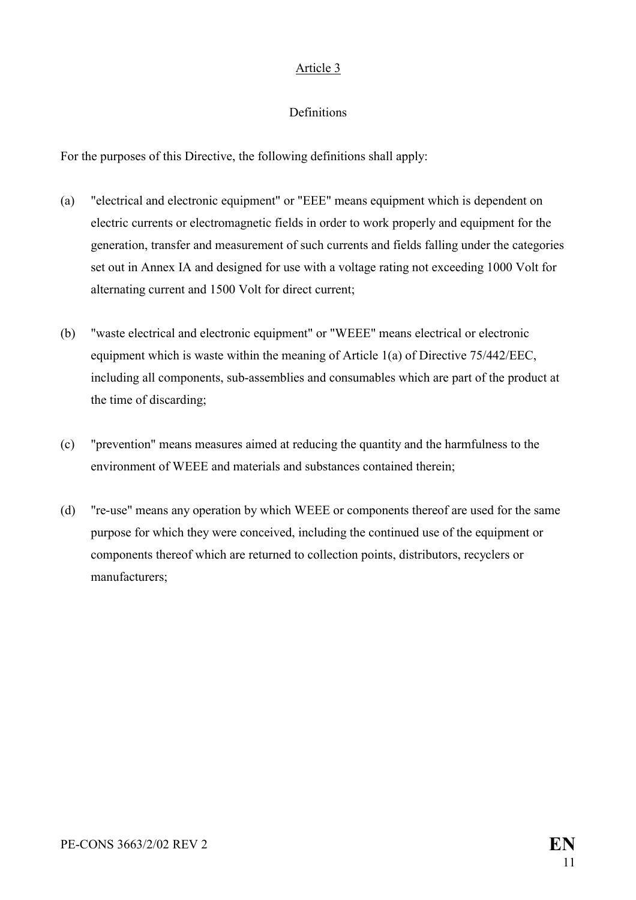#### Article 3

#### **Definitions**

For the purposes of this Directive, the following definitions shall apply:

- (a) "electrical and electronic equipment" or "EEE" means equipment which is dependent on electric currents or electromagnetic fields in order to work properly and equipment for the generation, transfer and measurement of such currents and fields falling under the categories set out in Annex IA and designed for use with a voltage rating not exceeding 1000 Volt for alternating current and 1500 Volt for direct current;
- (b) "waste electrical and electronic equipment" or "WEEE" means electrical or electronic equipment which is waste within the meaning of Article 1(a) of Directive 75/442/EEC, including all components, sub-assemblies and consumables which are part of the product at the time of discarding;
- (c) "prevention" means measures aimed at reducing the quantity and the harmfulness to the environment of WEEE and materials and substances contained therein;
- (d) "re-use" means any operation by which WEEE or components thereof are used for the same purpose for which they were conceived, including the continued use of the equipment or components thereof which are returned to collection points, distributors, recyclers or manufacturers;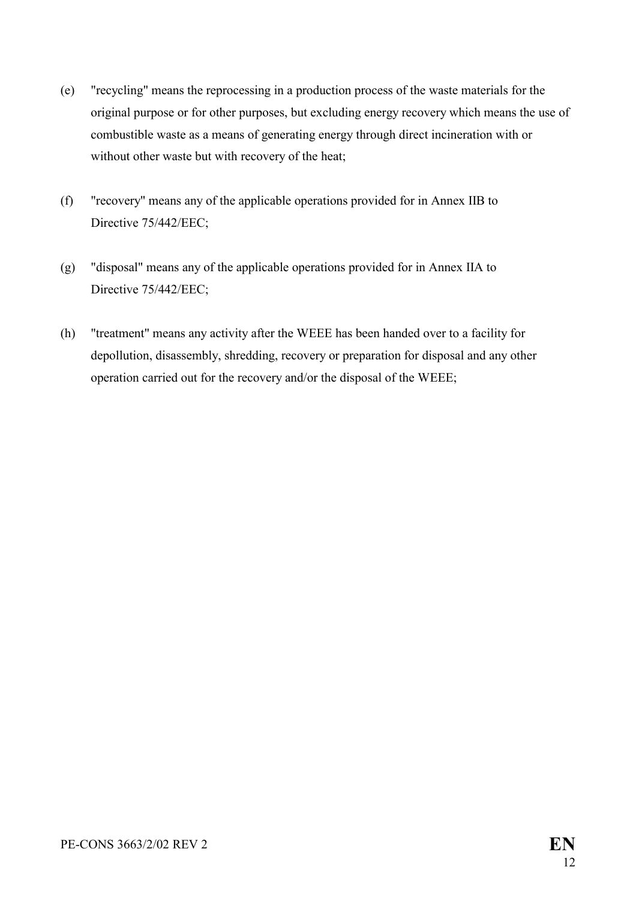- (e) "recycling" means the reprocessing in a production process of the waste materials for the original purpose or for other purposes, but excluding energy recovery which means the use of combustible waste as a means of generating energy through direct incineration with or without other waste but with recovery of the heat;
- (f) "recovery" means any of the applicable operations provided for in Annex IIB to Directive 75/442/EEC;
- (g) "disposal" means any of the applicable operations provided for in Annex IIA to Directive 75/442/EEC;
- (h) "treatment" means any activity after the WEEE has been handed over to a facility for depollution, disassembly, shredding, recovery or preparation for disposal and any other operation carried out for the recovery and/or the disposal of the WEEE;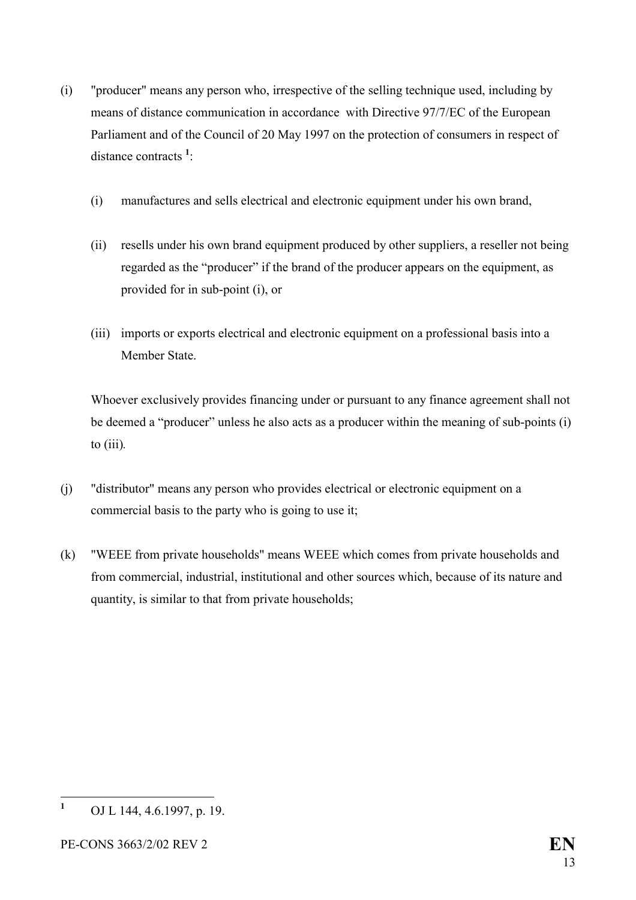- (i) "producer" means any person who, irrespective of the selling technique used, including by means of distance communication in accordance with Directive 97/7/EC of the European Parliament and of the Council of 20 May 1997 on the protection of consumers in respect of distance contracts **[1](#page-13-0)** :
	- (i) manufactures and sells electrical and electronic equipment under his own brand,
	- (ii) resells under his own brand equipment produced by other suppliers, a reseller not being regarded as the "producer" if the brand of the producer appears on the equipment, as provided for in sub-point (i), or
	- (iii) imports or exports electrical and electronic equipment on a professional basis into a Member State.

Whoever exclusively provides financing under or pursuant to any finance agreement shall not be deemed a "producer" unless he also acts as a producer within the meaning of sub-points (i) to (iii)*.*

- (j) "distributor" means any person who provides electrical or electronic equipment on a commercial basis to the party who is going to use it;
- (k) "WEEE from private households" means WEEE which comes from private households and from commercial, industrial, institutional and other sources which, because of its nature and quantity, is similar to that from private households;

<span id="page-13-0"></span> **1** OJ L 144, 4.6.1997, p. 19.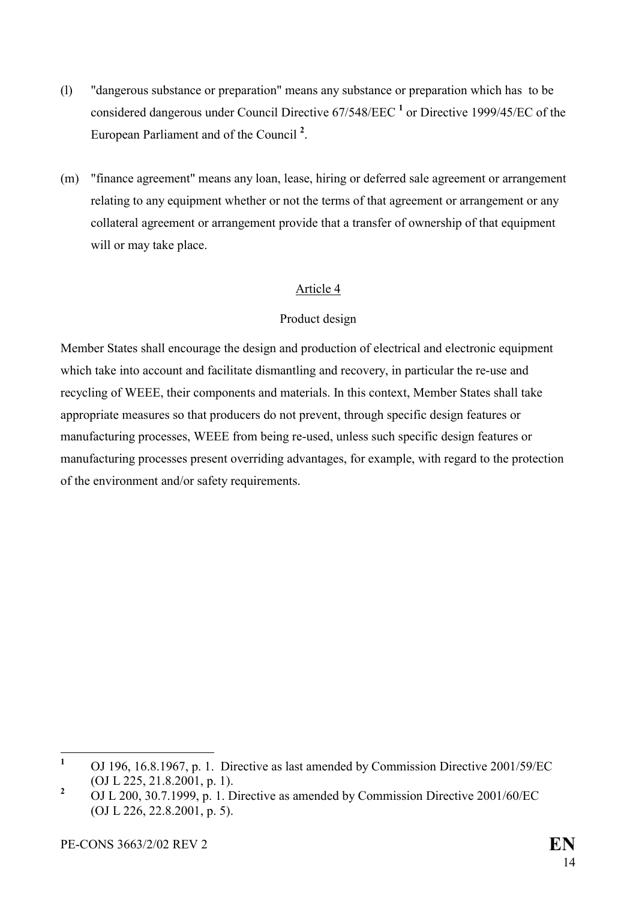- (l) "dangerous substance or preparation" means any substance or preparation which has to be considereddangerous under Council Directive 67/548/EEC<sup>1</sup> or Directive 1999/45/EC of the European Parliament and of the Council **[2](#page-14-1)** .
- (m) "finance agreement" means any loan, lease, hiring or deferred sale agreement or arrangement relating to any equipment whether or not the terms of that agreement or arrangement or any collateral agreement or arrangement provide that a transfer of ownership of that equipment will or may take place.

#### Article 4

#### Product design

Member States shall encourage the design and production of electrical and electronic equipment which take into account and facilitate dismantling and recovery, in particular the re-use and recycling of WEEE, their components and materials. In this context, Member States shall take appropriate measures so that producers do not prevent, through specific design features or manufacturing processes, WEEE from being re-used, unless such specific design features or manufacturing processes present overriding advantages, for example, with regard to the protection of the environment and/or safety requirements.

<span id="page-14-0"></span> **1** OJ 196, 16.8.1967, p. 1. Directive as last amended by Commission Directive 2001/59/EC (OJ L 225, 21.8.2001, p. 1).

<span id="page-14-1"></span>**<sup>2</sup>** OJ L 200, 30.7.1999, p. 1. Directive as amended by Commission Directive 2001/60/EC (OJ L 226, 22.8.2001, p. 5).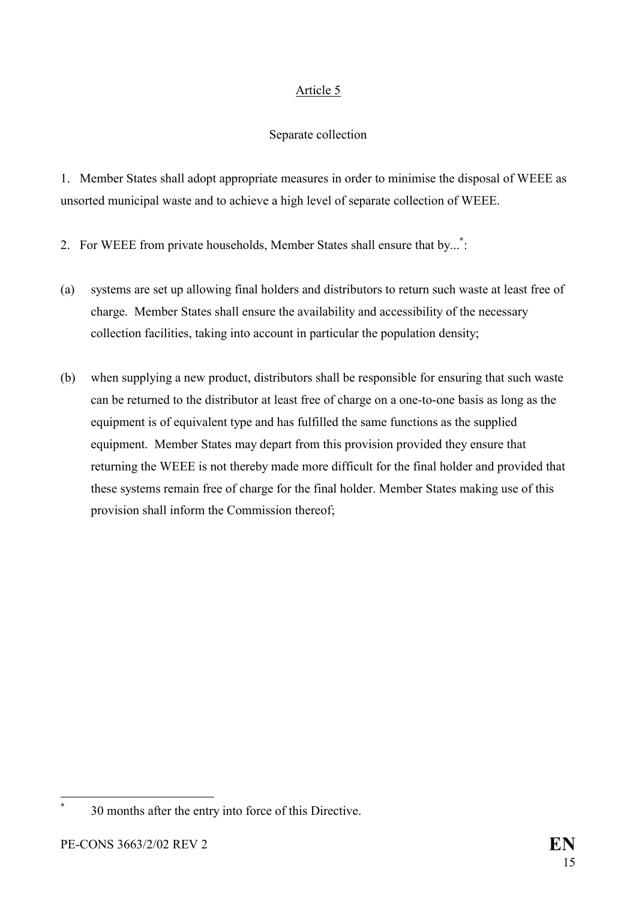### Article 5

### Separate collection

1. Member States shall adopt appropriate measures in order to minimise the disposal of WEEE as unsorted municipal waste and to achieve a high level of separate collection of WEEE.

2. For WEEE from private households, Member States shall ensure that by...**[\\*](#page-15-0)** :

- (a) systems are set up allowing final holders and distributors to return such waste at least free of charge. Member States shall ensure the availability and accessibility of the necessary collection facilities, taking into account in particular the population density;
- (b) when supplying a new product, distributors shall be responsible for ensuring that such waste can be returned to the distributor at least free of charge on a one-to-one basis as long as the equipment is of equivalent type and has fulfilled the same functions as the supplied equipment. Member States may depart from this provision provided they ensure that returning the WEEE is not thereby made more difficult for the final holder and provided that these systems remain free of charge for the final holder. Member States making use of this provision shall inform the Commission thereof;

 $\overline{a}$ 

<span id="page-15-0"></span>**\***

 <sup>30</sup> months after the entry into force of this Directive.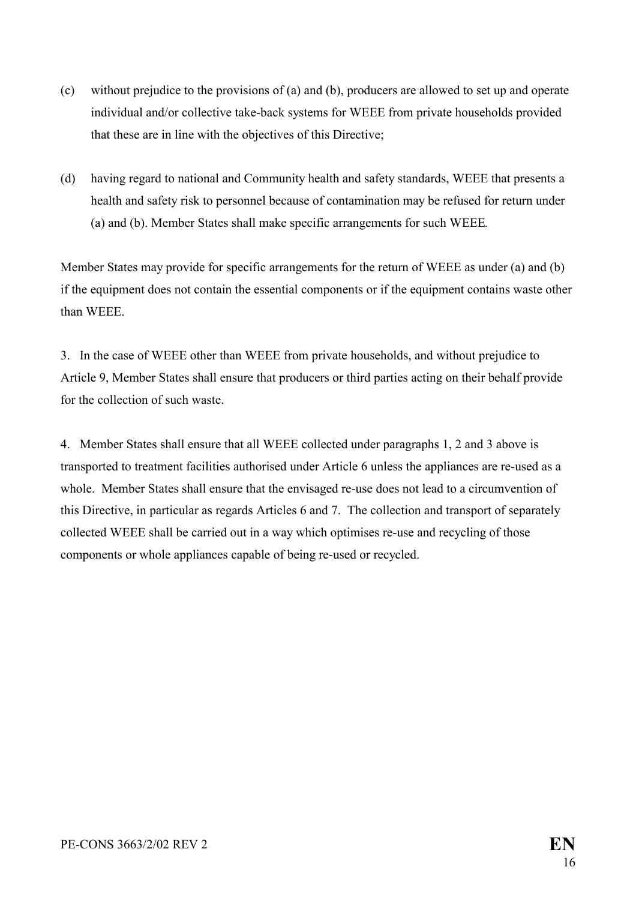- (c) without prejudice to the provisions of (a) and (b), producers are allowed to set up and operate individual and/or collective take-back systems for WEEE from private households provided that these are in line with the objectives of this Directive;
- (d) having regard to national and Community health and safety standards, WEEE that presents a health and safety risk to personnel because of contamination may be refused for return under (a) and (b). Member States shall make specific arrangements for such WEEE*.*

Member States may provide for specific arrangements for the return of WEEE as under (a) and (b) if the equipment does not contain the essential components or if the equipment contains waste other than WEEE.

3. In the case of WEEE other than WEEE from private households, and without prejudice to Article 9, Member States shall ensure that producers or third parties acting on their behalf provide for the collection of such waste.

4. Member States shall ensure that all WEEE collected under paragraphs 1, 2 and 3 above is transported to treatment facilities authorised under Article 6 unless the appliances are re-used as a whole. Member States shall ensure that the envisaged re-use does not lead to a circumvention of this Directive, in particular as regards Articles 6 and 7. The collection and transport of separately collected WEEE shall be carried out in a way which optimises re-use and recycling of those components or whole appliances capable of being re-used or recycled.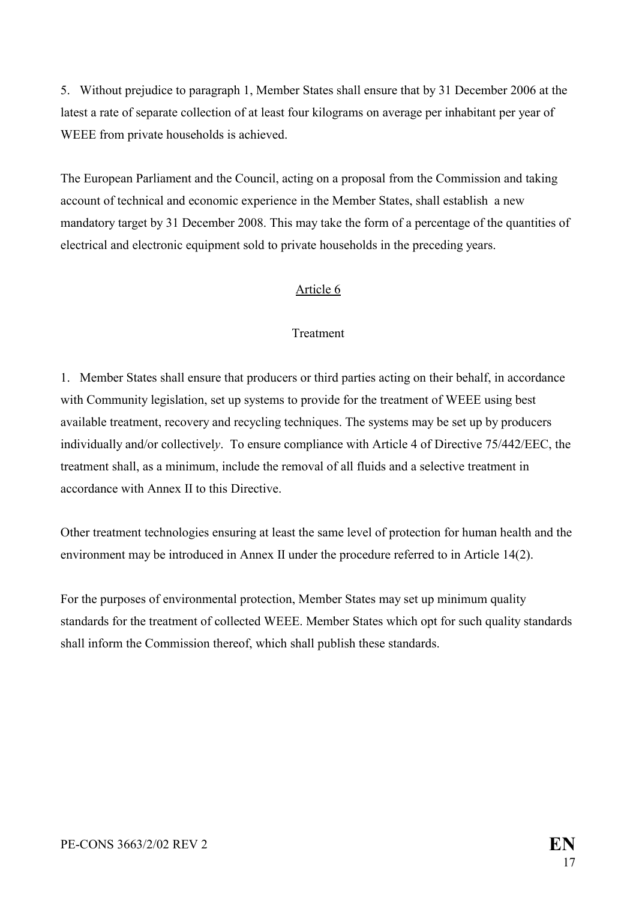5. Without prejudice to paragraph 1, Member States shall ensure that by 31 December 2006 at the latest a rate of separate collection of at least four kilograms on average per inhabitant per year of WEEE from private households is achieved.

The European Parliament and the Council, acting on a proposal from the Commission and taking account of technical and economic experience in the Member States, shall establish a new mandatory target by 31 December 2008. This may take the form of a percentage of the quantities of electrical and electronic equipment sold to private households in the preceding years.

#### Article 6

#### **Treatment**

1. Member States shall ensure that producers or third parties acting on their behalf, in accordance with Community legislation, set up systems to provide for the treatment of WEEE using best available treatment, recovery and recycling techniques. The systems may be set up by producers individually and/or collectivel*y*. To ensure compliance with Article 4 of Directive 75/442/EEC, the treatment shall, as a minimum, include the removal of all fluids and a selective treatment in accordance with Annex II to this Directive.

Other treatment technologies ensuring at least the same level of protection for human health and the environment may be introduced in Annex II under the procedure referred to in Article 14(2).

For the purposes of environmental protection, Member States may set up minimum quality standards for the treatment of collected WEEE. Member States which opt for such quality standards shall inform the Commission thereof, which shall publish these standards.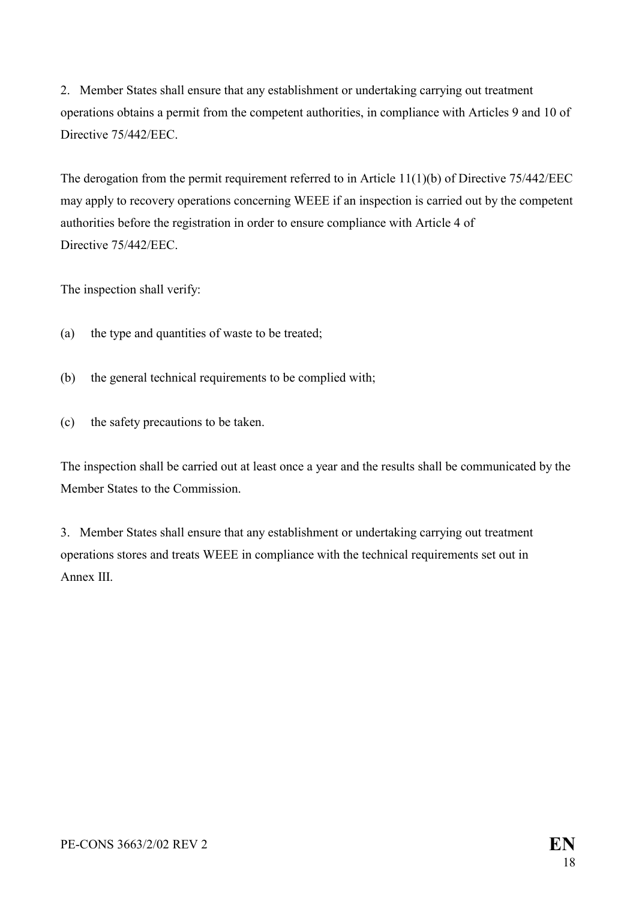2. Member States shall ensure that any establishment or undertaking carrying out treatment operations obtains a permit from the competent authorities, in compliance with Articles 9 and 10 of Directive 75/442/EEC.

The derogation from the permit requirement referred to in Article 11(1)(b) of Directive 75/442/EEC may apply to recovery operations concerning WEEE if an inspection is carried out by the competent authorities before the registration in order to ensure compliance with Article 4 of Directive 75/442/EEC.

The inspection shall verify:

- (a) the type and quantities of waste to be treated;
- (b) the general technical requirements to be complied with;
- (c) the safety precautions to be taken.

The inspection shall be carried out at least once a year and the results shall be communicated by the Member States to the Commission.

3. Member States shall ensure that any establishment or undertaking carrying out treatment operations stores and treats WEEE in compliance with the technical requirements set out in Annex III.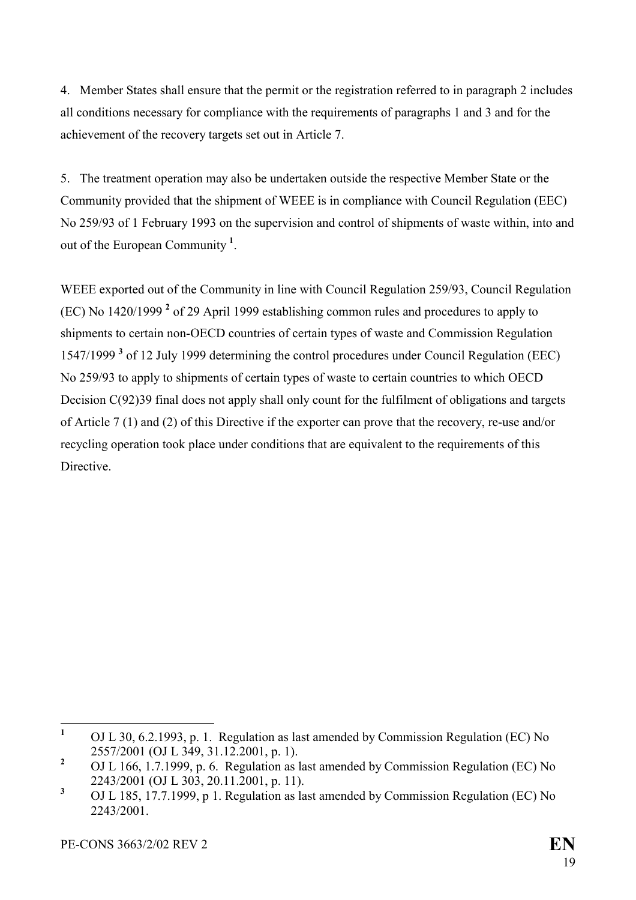4. Member States shall ensure that the permit or the registration referred to in paragraph 2 includes all conditions necessary for compliance with the requirements of paragraphs 1 and 3 and for the achievement of the recovery targets set out in Article 7.

5. The treatment operation may also be undertaken outside the respective Member State or the Community provided that the shipment of WEEE is in compliance with Council Regulation (EEC) No 259/93 of 1 February 1993 on the supervision and control of shipments of waste within, into and out of the European Community **[1](#page-19-0)** .

WEEE exported out of the Community in line with Council Regulation 259/93, Council Regulation (EC) No 1420/1999 **[2](#page-19-1)** of 29 April 1999 establishing common rules and procedures to apply to shipments to certain non-OECD countries of certain types of waste and Commission Regulation 1547/1999 **[3](#page-19-2)** of 12 July 1999 determining the control procedures under Council Regulation (EEC) No 259/93 to apply to shipments of certain types of waste to certain countries to which OECD Decision C(92)39 final does not apply shall only count for the fulfilment of obligations and targets of Article 7 (1) and (2) of this Directive if the exporter can prove that the recovery, re-use and/or recycling operation took place under conditions that are equivalent to the requirements of this **Directive** 

<span id="page-19-0"></span> **1** OJ L 30, 6.2.1993, p. 1. Regulation as last amended by Commission Regulation (EC) No 2557/2001 (OJ L 349, 31.12.2001, p. 1).

<span id="page-19-1"></span>**<sup>2</sup>** OJ L 166, 1.7.1999, p. 6. Regulation as last amended by Commission Regulation (EC) No 2243/2001 (OJ L 303, 20.11.2001, p. 11).

<span id="page-19-2"></span>**<sup>3</sup>** OJ L 185, 17.7.1999, p 1. Regulation as last amended by Commission Regulation (EC) No 2243/2001.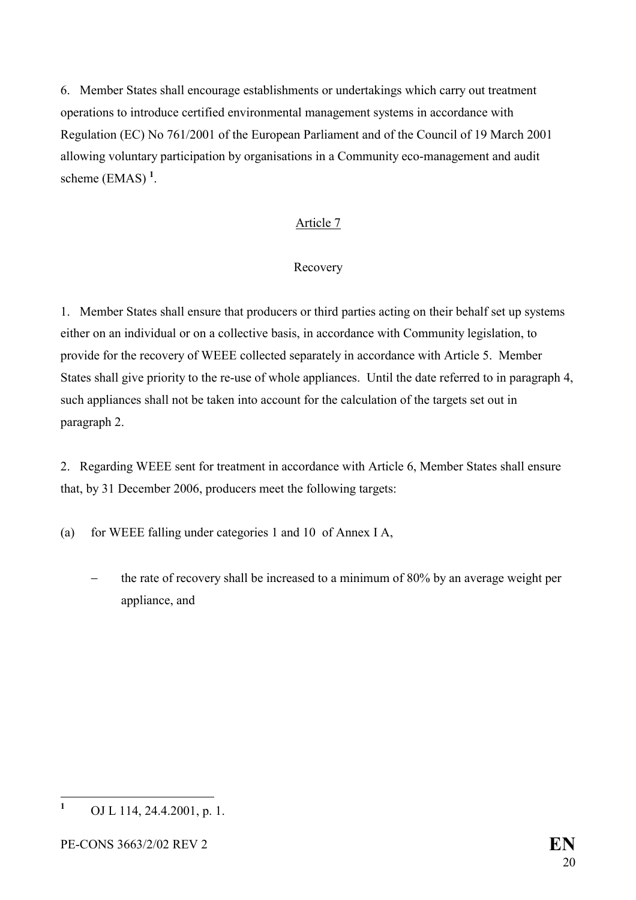6. Member States shall encourage establishments or undertakings which carry out treatment operations to introduce certified environmental management systems in accordance with Regulation (EC) No 761/2001 of the European Parliament and of the Council of 19 March 2001 allowing voluntary participation by organisations in a Community eco-management and audit scheme (EMAS) **[1](#page-20-0)** .

### Article 7

#### Recovery

1. Member States shall ensure that producers or third parties acting on their behalf set up systems either on an individual or on a collective basis, in accordance with Community legislation, to provide for the recovery of WEEE collected separately in accordance with Article 5. Member States shall give priority to the re-use of whole appliances. Until the date referred to in paragraph 4, such appliances shall not be taken into account for the calculation of the targets set out in paragraph 2.

2. Regarding WEEE sent for treatment in accordance with Article 6, Member States shall ensure that, by 31 December 2006, producers meet the following targets:

(a) for WEEE falling under categories 1 and 10 of Annex I A,

 the rate of recovery shall be increased to a minimum of 80% by an average weight per appliance, and

<span id="page-20-0"></span> **1** OJ L 114, 24.4.2001, p. 1.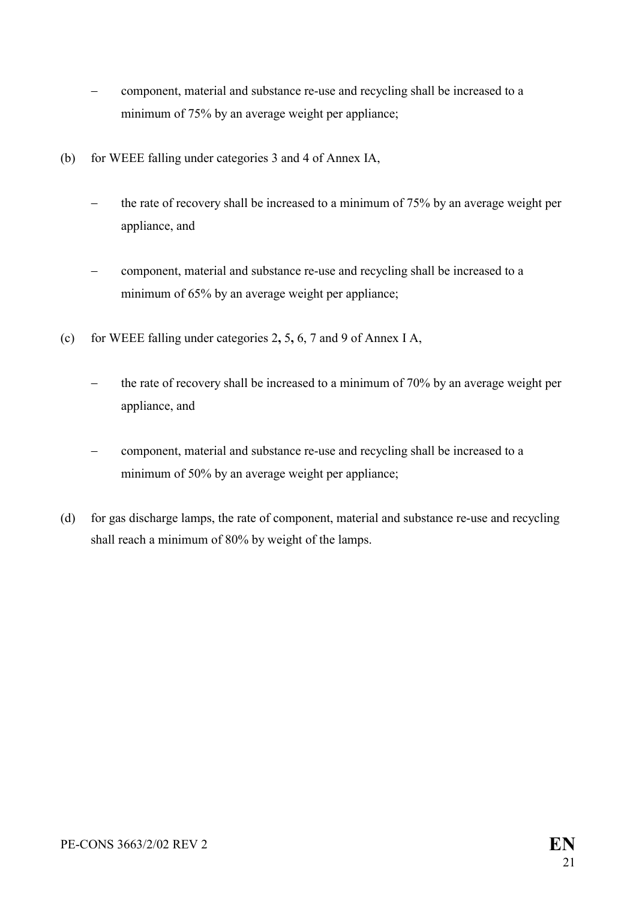- component, material and substance re-use and recycling shall be increased to a minimum of 75% by an average weight per appliance;
- (b) for WEEE falling under categories 3 and 4 of Annex IA,
	- the rate of recovery shall be increased to a minimum of 75% by an average weight per appliance, and
	- component, material and substance re-use and recycling shall be increased to a minimum of 65% by an average weight per appliance;
- (c) for WEEE falling under categories 2**,** 5**,** 6, 7 and 9 of Annex I A,
	- the rate of recovery shall be increased to a minimum of 70% by an average weight per appliance, and
	- component, material and substance re-use and recycling shall be increased to a minimum of 50% by an average weight per appliance;
- (d) for gas discharge lamps, the rate of component, material and substance re-use and recycling shall reach a minimum of 80% by weight of the lamps.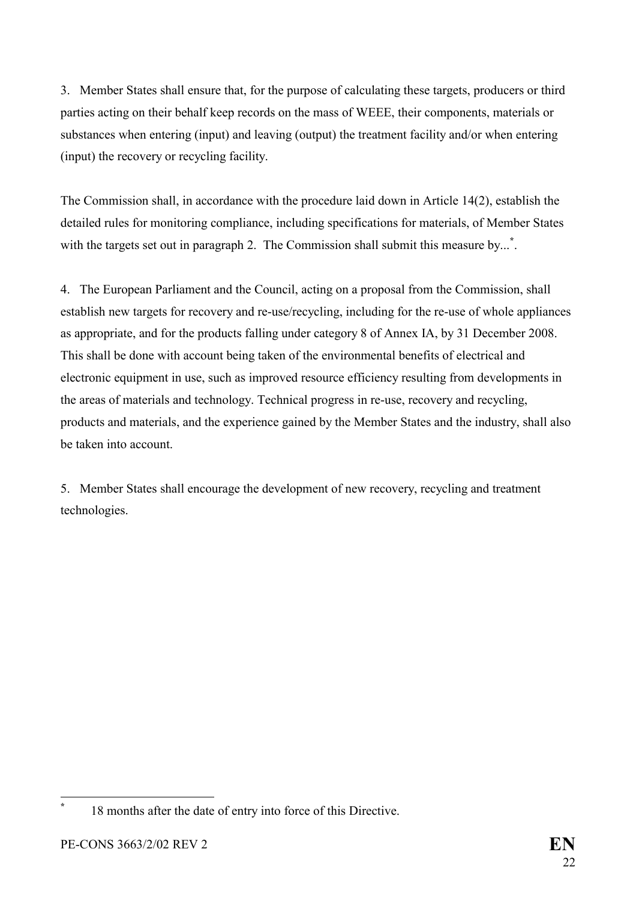3. Member States shall ensure that, for the purpose of calculating these targets, producers or third parties acting on their behalf keep records on the mass of WEEE, their components, materials or substances when entering (input) and leaving (output) the treatment facility and/or when entering (input) the recovery or recycling facility.

The Commission shall, in accordance with the procedure laid down in Article 14(2), establish the detailed rules for monitoring compliance, including specifications for materials, of Member States with the targets set out in paragraph 2. The Commission shall submit this measure by...<sup>[\\*](#page-22-0)</sup>.

4. The European Parliament and the Council, acting on a proposal from the Commission, shall establish new targets for recovery and re-use/recycling, including for the re-use of whole appliances as appropriate, and for the products falling under category 8 of Annex IA, by 31 December 2008. This shall be done with account being taken of the environmental benefits of electrical and electronic equipment in use, such as improved resource efficiency resulting from developments in the areas of materials and technology. Technical progress in re-use, recovery and recycling, products and materials, and the experience gained by the Member States and the industry, shall also be taken into account.

5. Member States shall encourage the development of new recovery, recycling and treatment technologies.

 $\overline{a}$ 

<span id="page-22-0"></span>**\***

 <sup>18</sup> months after the date of entry into force of this Directive.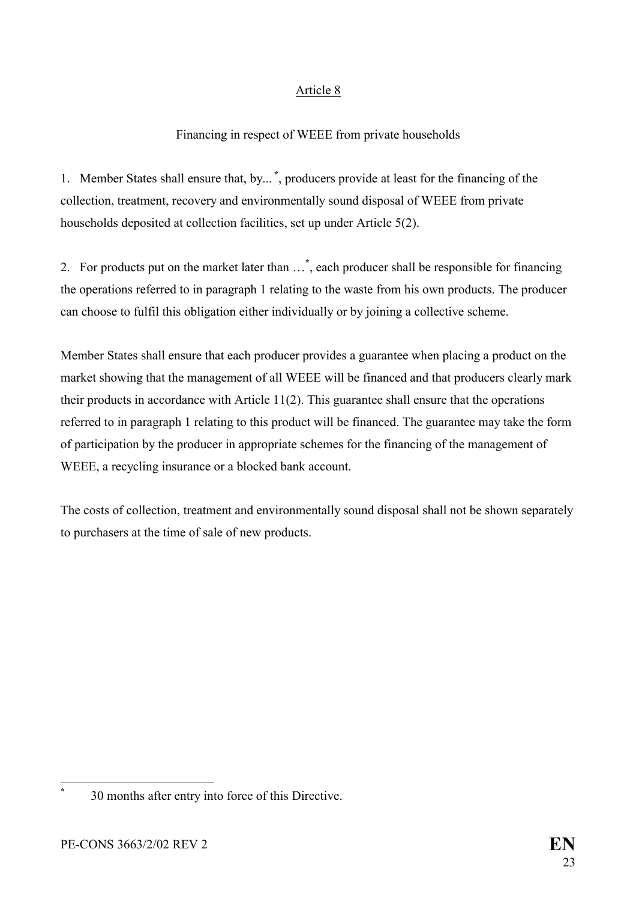### Article 8

### Financing in respect of WEEE from private households

1. Member States shall ensure that, by... **[\\*](#page-23-0)**, producers provide at least for the financing of the collection, treatment, recovery and environmentally sound disposal of WEEE from private households deposited at collection facilities, set up under Article 5(2).

2. For products put on the market later than …**[\\*](#page-25-0)** , each producer shall be responsible for financing the operations referred to in paragraph 1 relating to the waste from his own products. The producer can choose to fulfil this obligation either individually or by joining a collective scheme.

Member States shall ensure that each producer provides a guarantee when placing a product on the market showing that the management of all WEEE will be financed and that producers clearly mark their products in accordance with Article 11(2). This guarantee shall ensure that the operations referred to in paragraph 1 relating to this product will be financed. The guarantee may take the form of participation by the producer in appropriate schemes for the financing of the management of WEEE, a recycling insurance or a blocked bank account.

The costs of collection, treatment and environmentally sound disposal shall not be shown separately to purchasers at the time of sale of new products.

<span id="page-23-0"></span> $\overline{a}$ **\*** 30 months after entry into force of this Directive.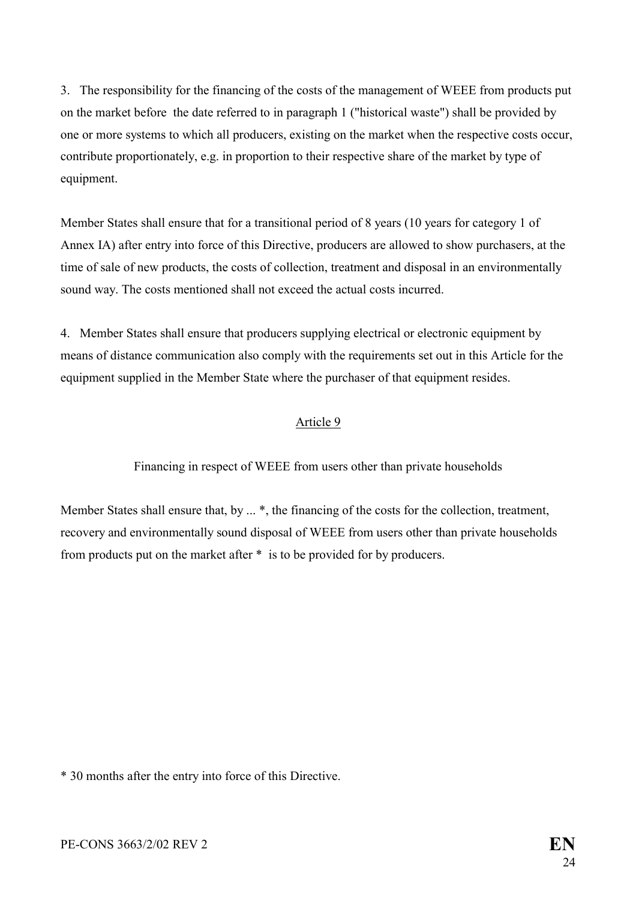3. The responsibility for the financing of the costs of the management of WEEE from products put on the market before the date referred to in paragraph 1 ("historical waste") shall be provided by one or more systems to which all producers, existing on the market when the respective costs occur, contribute proportionately, e.g. in proportion to their respective share of the market by type of equipment.

Member States shall ensure that for a transitional period of 8 years (10 years for category 1 of Annex IA) after entry into force of this Directive, producers are allowed to show purchasers, at the time of sale of new products, the costs of collection, treatment and disposal in an environmentally sound way. The costs mentioned shall not exceed the actual costs incurred.

4. Member States shall ensure that producers supplying electrical or electronic equipment by means of distance communication also comply with the requirements set out in this Article for the equipment supplied in the Member State where the purchaser of that equipment resides.

#### Article 9

Financing in respect of WEEE from users other than private households

Member States shall ensure that, by ... \*, the financing of the costs for the collection, treatment, recovery and environmentally sound disposal of WEEE from users other than private households from products put on the market after \* is to be provided for by producers.

\* 30 months after the entry into force of this Directive.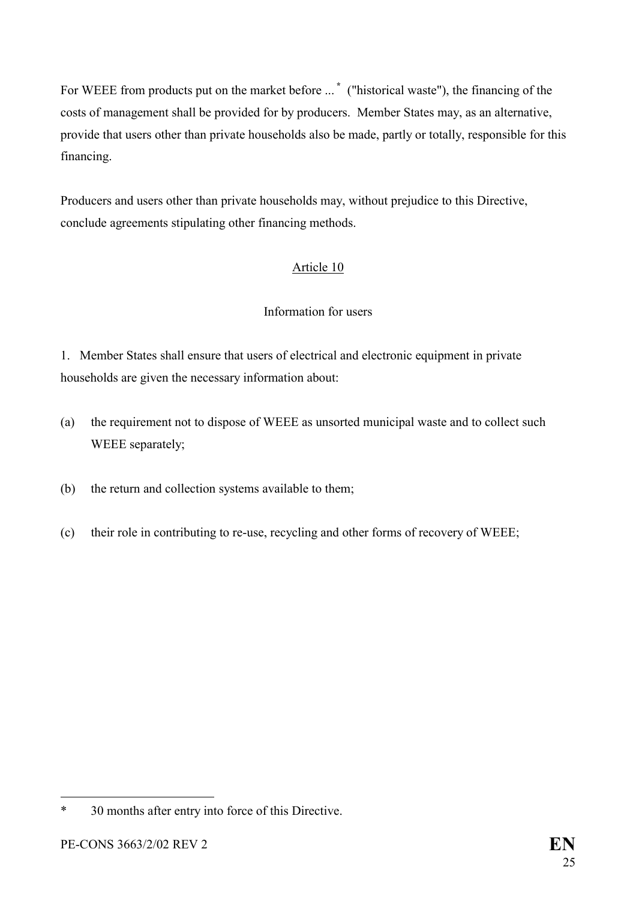For WEEE from products put on the market before ... **[\\*](#page-25-1)** ("historical waste"), the financing of the costs of management shall be provided for by producers. Member States may, as an alternative, provide that users other than private households also be made, partly or totally, responsible for this financing.

Producers and users other than private households may, without prejudice to this Directive, conclude agreements stipulating other financing methods.

# Article 10

#### Information for users

1. Member States shall ensure that users of electrical and electronic equipment in private households are given the necessary information about:

- (a) the requirement not to dispose of WEEE as unsorted municipal waste and to collect such WEEE separately;
- (b) the return and collection systems available to them;
- (c) their role in contributing to re-use, recycling and other forms of recovery of WEEE;

 $\overline{a}$ 

<span id="page-25-1"></span><span id="page-25-0"></span><sup>\* 30</sup> months after entry into force of this Directive.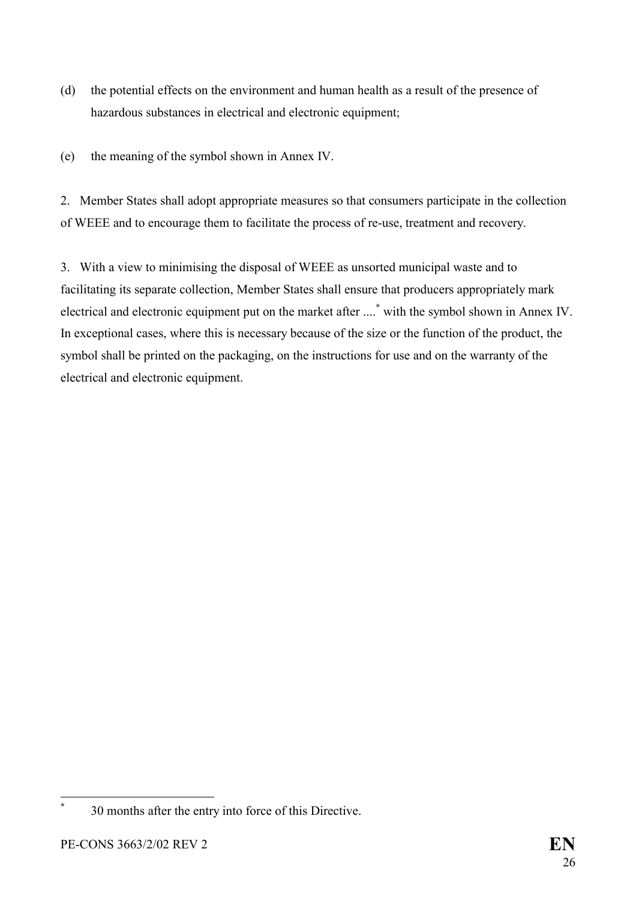- (d) the potential effects on the environment and human health as a result of the presence of hazardous substances in electrical and electronic equipment;
- (e) the meaning of the symbol shown in Annex IV.

2. Member States shall adopt appropriate measures so that consumers participate in the collection of WEEE and to encourage them to facilitate the process of re-use, treatment and recovery.

3. With a view to minimising the disposal of WEEE as unsorted municipal waste and to facilitating its separate collection, Member States shall ensure that producers appropriately mark electrical and electronic equipment put on the market after ....**[\\*](#page-26-0)** with the symbol shown in Annex IV. In exceptional cases, where this is necessary because of the size or the function of the product, the symbol shall be printed on the packaging, on the instructions for use and on the warranty of the electrical and electronic equipment.

**\***

<span id="page-26-0"></span> <sup>30</sup> months after the entry into force of this Directive.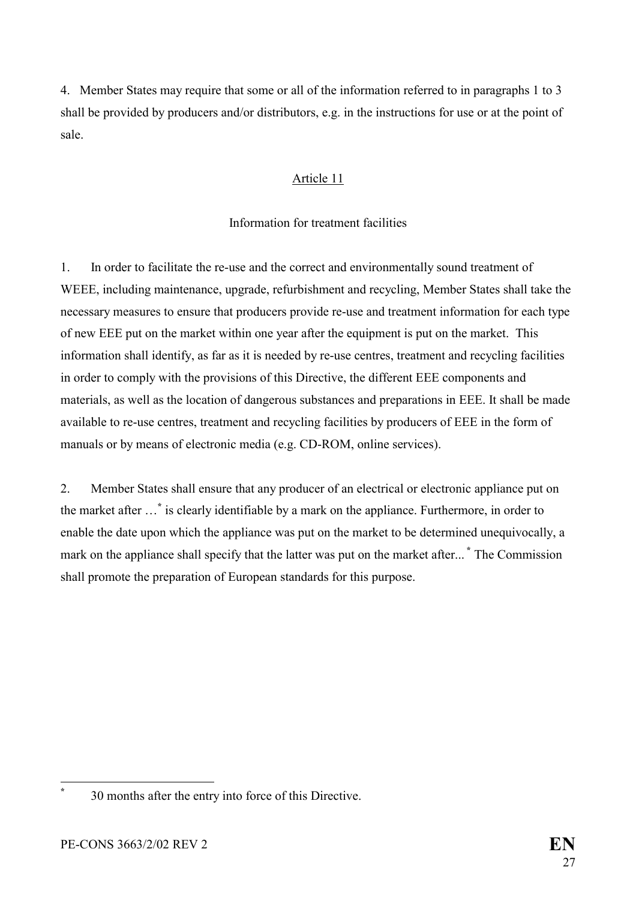4. Member States may require that some or all of the information referred to in paragraphs 1 to 3 shall be provided by producers and/or distributors, e.g. in the instructions for use or at the point of sale.

#### Article 11

#### Information for treatment facilities

1. In order to facilitate the re-use and the correct and environmentally sound treatment of WEEE, including maintenance, upgrade, refurbishment and recycling, Member States shall take the necessary measures to ensure that producers provide re-use and treatment information for each type of new EEE put on the market within one year after the equipment is put on the market. This information shall identify, as far as it is needed by re-use centres, treatment and recycling facilities in order to comply with the provisions of this Directive, the different EEE components and materials, as well as the location of dangerous substances and preparations in EEE. It shall be made available to re-use centres, treatment and recycling facilities by producers of EEE in the form of manuals or by means of electronic media (e.g. CD-ROM, online services).

2. Member States shall ensure that any producer of an electrical or electronic appliance put on the market after …**[\\*](#page-27-0)** is clearly identifiable by a mark on the appliance. Furthermore, in order to enable the date upon which the appliance was put on the market to be determined unequivocally, a mark on the appliance shall specify that the latter was put on the market after... **[\\*](#page-29-0)** The Commission shall promote the preparation of European standards for this purpose.

<span id="page-27-0"></span> $\overline{a}$ **\*** 30 months after the entry into force of this Directive.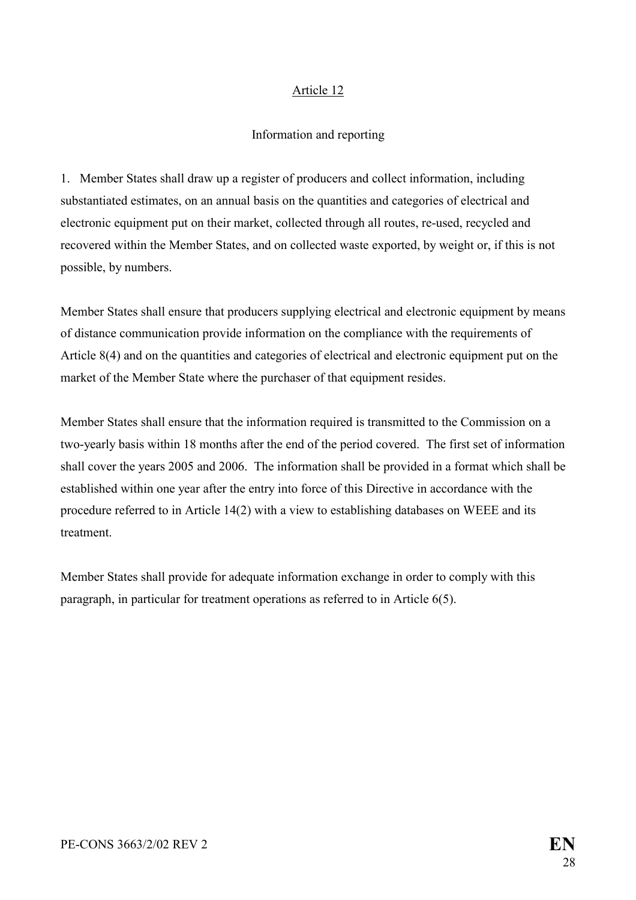#### Article 12

#### Information and reporting

1. Member States shall draw up a register of producers and collect information, including substantiated estimates, on an annual basis on the quantities and categories of electrical and electronic equipment put on their market, collected through all routes, re-used, recycled and recovered within the Member States, and on collected waste exported, by weight or, if this is not possible, by numbers.

Member States shall ensure that producers supplying electrical and electronic equipment by means of distance communication provide information on the compliance with the requirements of Article 8(4) and on the quantities and categories of electrical and electronic equipment put on the market of the Member State where the purchaser of that equipment resides.

Member States shall ensure that the information required is transmitted to the Commission on a two-yearly basis within 18 months after the end of the period covered. The first set of information shall cover the years 2005 and 2006. The information shall be provided in a format which shall be established within one year after the entry into force of this Directive in accordance with the procedure referred to in Article 14(2) with a view to establishing databases on WEEE and its treatment.

Member States shall provide for adequate information exchange in order to comply with this paragraph, in particular for treatment operations as referred to in Article 6(5).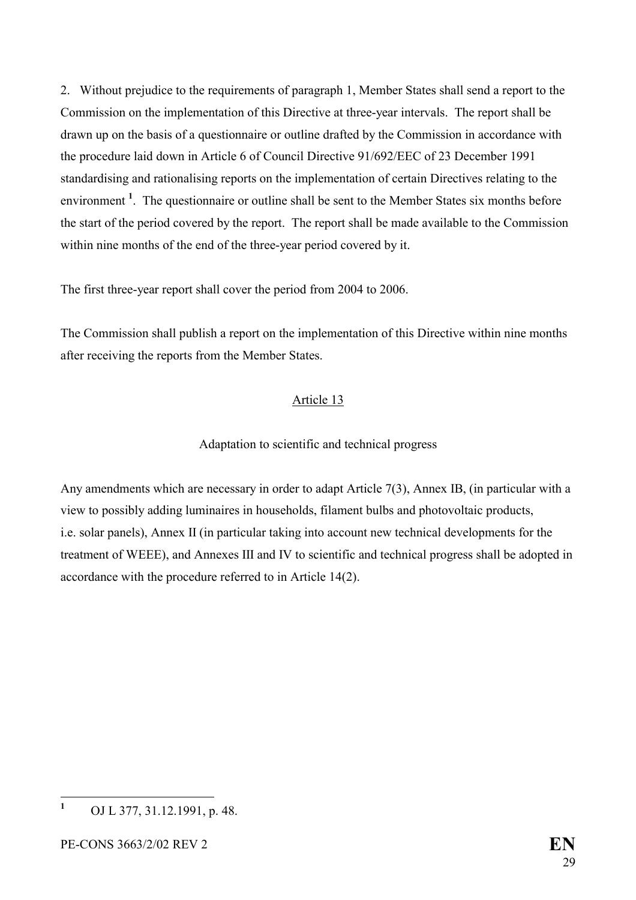2. Without prejudice to the requirements of paragraph 1, Member States shall send a report to the Commission on the implementation of this Directive at three-year intervals. The report shall be drawn up on the basis of a questionnaire or outline drafted by the Commission in accordance with the procedure laid down in Article 6 of Council Directive 91/692/EEC of 23 December 1991 standardising and rationalising reports on the implementation of certain Directives relating to the environment<sup>[1](#page-29-1)</sup>. The questionnaire or outline shall be sent to the Member States six months before the start of the period covered by the report. The report shall be made available to the Commission within nine months of the end of the three-year period covered by it.

The first three-year report shall cover the period from 2004 to 2006.

The Commission shall publish a report on the implementation of this Directive within nine months after receiving the reports from the Member States.

#### Article 13

#### Adaptation to scientific and technical progress

Any amendments which are necessary in order to adapt Article 7(3), Annex IB, (in particular with a view to possibly adding luminaires in households, filament bulbs and photovoltaic products, i.e. solar panels), Annex II (in particular taking into account new technical developments for the treatment of WEEE), and Annexes III and IV to scientific and technical progress shall be adopted in accordance with the procedure referred to in Article 14(2).

<span id="page-29-1"></span><span id="page-29-0"></span> **1** OJ L 377, 31.12.1991, p. 48.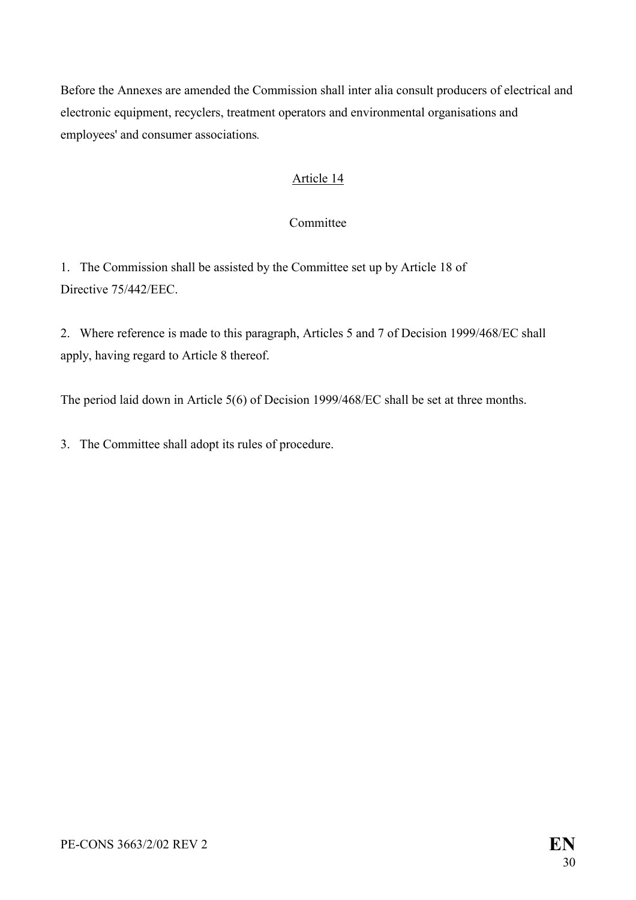Before the Annexes are amended the Commission shall inter alia consult producers of electrical and electronic equipment, recyclers, treatment operators and environmental organisations and employees' and consumer associations*.* 

#### Article 14

#### Committee

1. The Commission shall be assisted by the Committee set up by Article 18 of Directive 75/442/EEC.

2. Where reference is made to this paragraph, Articles 5 and 7 of Decision 1999/468/EC shall apply, having regard to Article 8 thereof.

The period laid down in Article 5(6) of Decision 1999/468/EC shall be set at three months.

3. The Committee shall adopt its rules of procedure.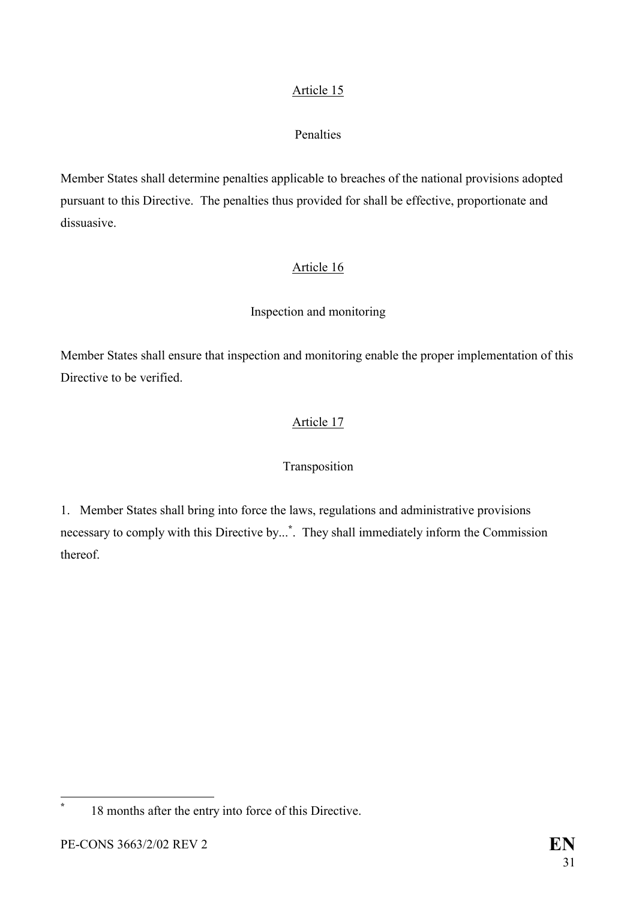### Article 15

### Penalties

Member States shall determine penalties applicable to breaches of the national provisions adopted pursuant to this Directive. The penalties thus provided for shall be effective, proportionate and dissuasive.

# Article 16

# Inspection and monitoring

Member States shall ensure that inspection and monitoring enable the proper implementation of this Directive to be verified.

# Article 17

#### Transposition

1. Member States shall bring into force the laws, regulations and administrative provisions necessary to comply with this Directive by...**[\\*](#page-31-0)** . They shall immediately inform the Commission thereof.

<span id="page-31-0"></span>**\***

 <sup>18</sup> months after the entry into force of this Directive.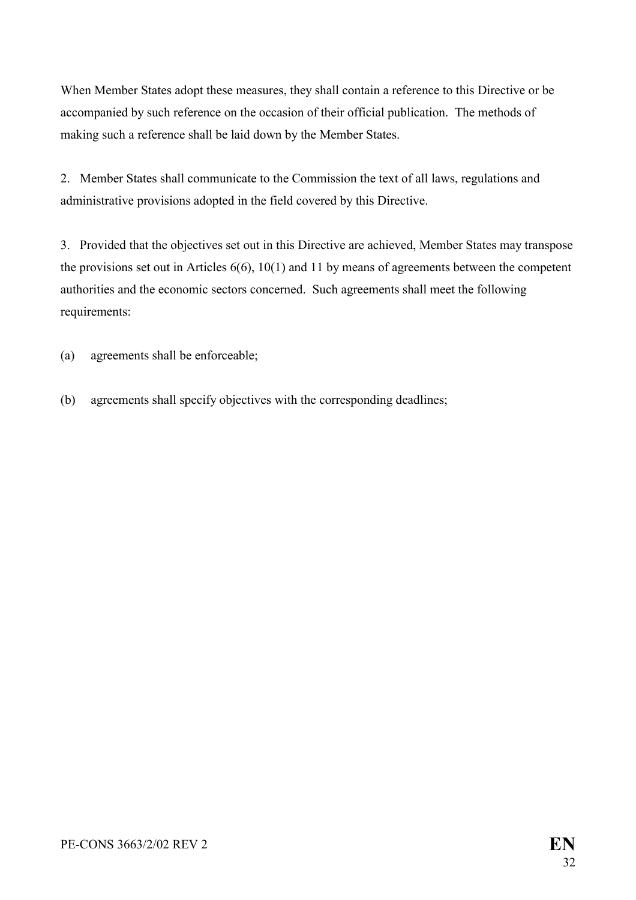When Member States adopt these measures, they shall contain a reference to this Directive or be accompanied by such reference on the occasion of their official publication. The methods of making such a reference shall be laid down by the Member States.

2. Member States shall communicate to the Commission the text of all laws, regulations and administrative provisions adopted in the field covered by this Directive.

3. Provided that the objectives set out in this Directive are achieved, Member States may transpose the provisions set out in Articles 6(6), 10(1) and 11 by means of agreements between the competent authorities and the economic sectors concerned. Such agreements shall meet the following requirements:

(a) agreements shall be enforceable;

(b) agreements shall specify objectives with the corresponding deadlines;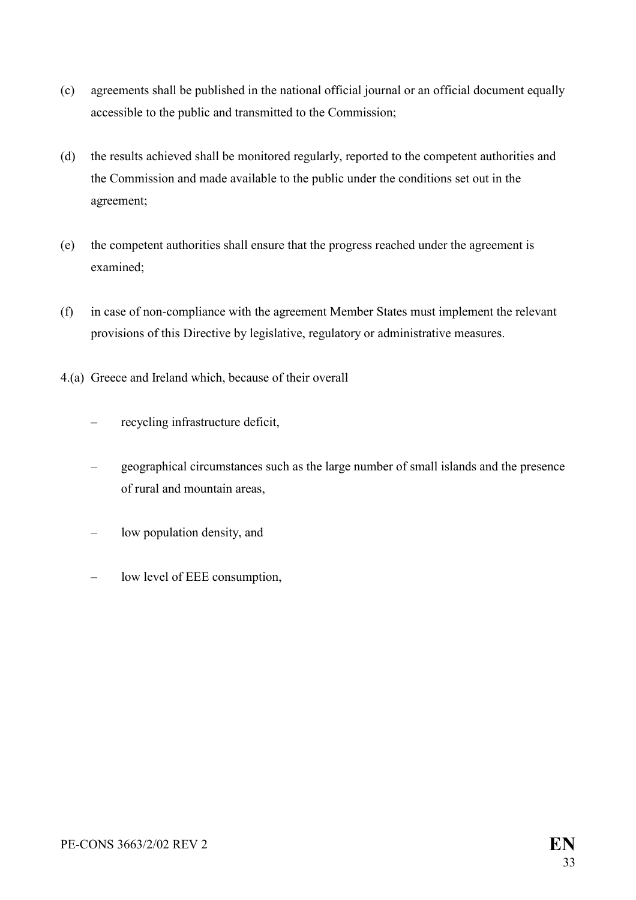- (c) agreements shall be published in the national official journal or an official document equally accessible to the public and transmitted to the Commission;
- (d) the results achieved shall be monitored regularly, reported to the competent authorities and the Commission and made available to the public under the conditions set out in the agreement;
- (e) the competent authorities shall ensure that the progress reached under the agreement is examined;
- (f) in case of non-compliance with the agreement Member States must implement the relevant provisions of this Directive by legislative, regulatory or administrative measures.
- 4.(a) Greece and Ireland which, because of their overall
	- recycling infrastructure deficit,
	- geographical circumstances such as the large number of small islands and the presence of rural and mountain areas,
	- low population density, and
	- low level of EEE consumption,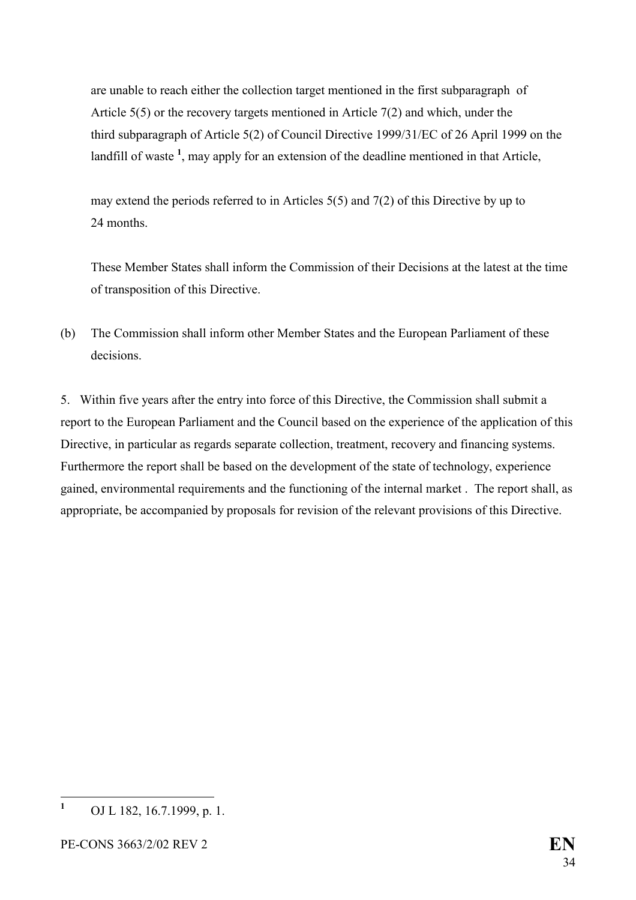are unable to reach either the collection target mentioned in the first subparagraph of Article 5(5) or the recovery targets mentioned in Article 7(2) and which, under the third subparagraph of Article 5(2) of Council Directive 1999/31/EC of 26 April 1999 on the landfill of waste<sup>[1](#page-34-0)</sup>, may apply for an extension of the deadline mentioned in that Article,

may extend the periods referred to in Articles 5(5) and 7(2) of this Directive by up to 24 months.

These Member States shall inform the Commission of their Decisions at the latest at the time of transposition of this Directive.

(b) The Commission shall inform other Member States and the European Parliament of these decisions.

5. Within five years after the entry into force of this Directive, the Commission shall submit a report to the European Parliament and the Council based on the experience of the application of this Directive, in particular as regards separate collection, treatment, recovery and financing systems. Furthermore the report shall be based on the development of the state of technology, experience gained, environmental requirements and the functioning of the internal market . The report shall, as appropriate, be accompanied by proposals for revision of the relevant provisions of this Directive.

<span id="page-34-0"></span> **1** OJ L 182, 16.7.1999, p. 1.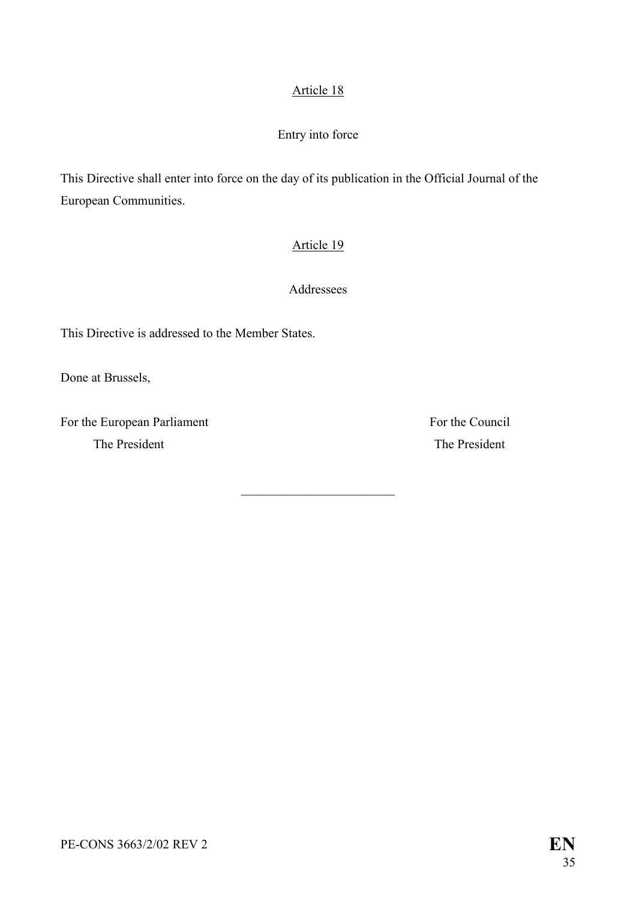### Article 18

### Entry into force

This Directive shall enter into force on the day of its publication in the Official Journal of the European Communities.

#### Article 19

Addressees

 $\overline{\phantom{a}}$  , where  $\overline{\phantom{a}}$ 

This Directive is addressed to the Member States.

Done at Brussels,

For the European Parliament For the Council The President The President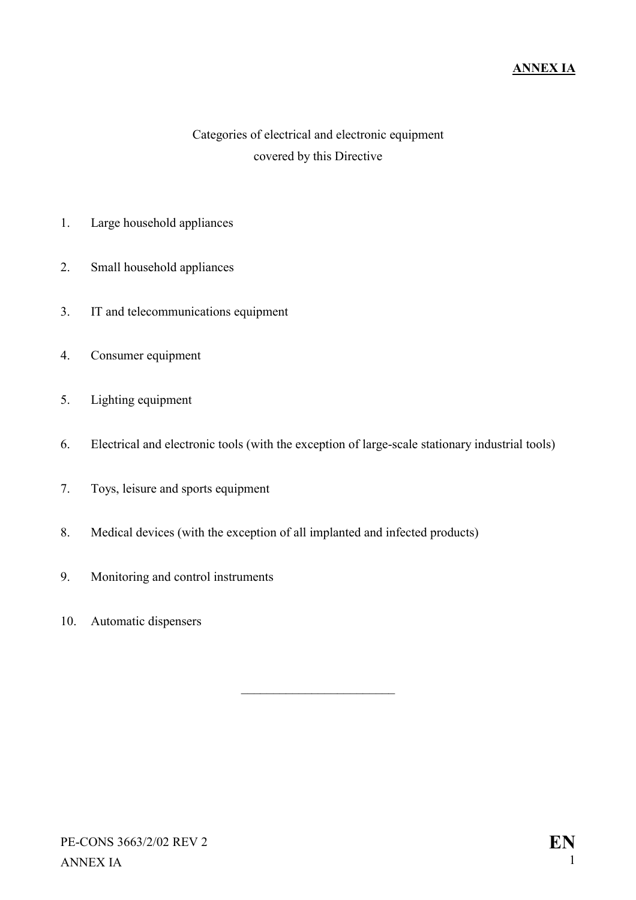# Categories of electrical and electronic equipment covered by this Directive

- 1. Large household appliances
- 2. Small household appliances
- 3. IT and telecommunications equipment
- 4. Consumer equipment
- 5. Lighting equipment
- 6. Electrical and electronic tools (with the exception of large-scale stationary industrial tools)

 $\overline{\phantom{a}}$  , where  $\overline{\phantom{a}}$ 

- 7. Toys, leisure and sports equipment
- 8. Medical devices (with the exception of all implanted and infected products)
- 9. Monitoring and control instruments
- 10. Automatic dispensers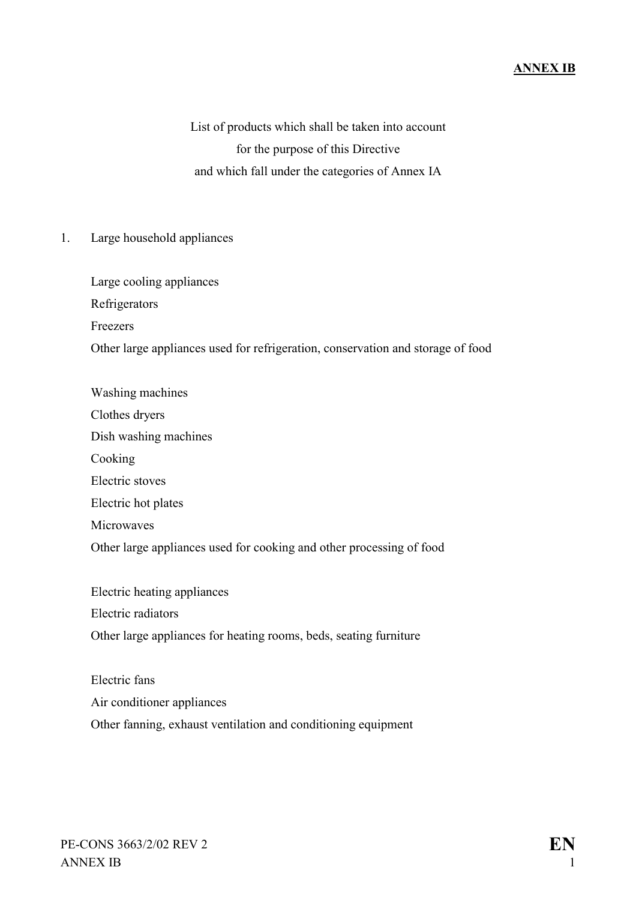List of products which shall be taken into account for the purpose of this Directive and which fall under the categories of Annex IA

1. Large household appliances

Large cooling appliances Refrigerators Freezers Other large appliances used for refrigeration, conservation and storage of food

Washing machines

Clothes dryers

Dish washing machines

Cooking

Electric stoves

Electric hot plates

**Microwaves** 

Other large appliances used for cooking and other processing of food

Electric heating appliances Electric radiators Other large appliances for heating rooms, beds, seating furniture

Electric fans Air conditioner appliances Other fanning, exhaust ventilation and conditioning equipment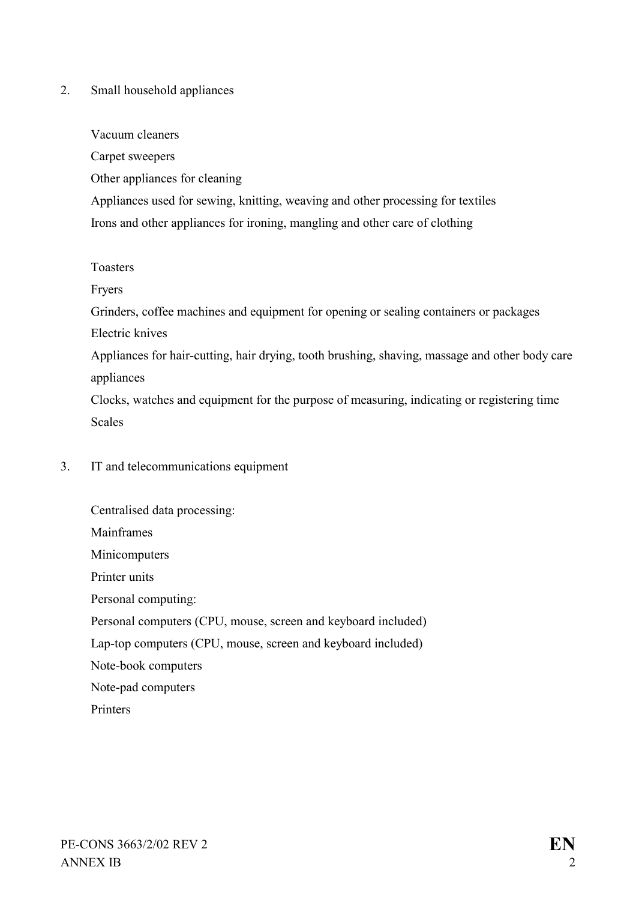#### 2. Small household appliances

#### Vacuum cleaners

Carpet sweepers

Other appliances for cleaning

Appliances used for sewing, knitting, weaving and other processing for textiles Irons and other appliances for ironing, mangling and other care of clothing

#### Toasters

Fryers

Grinders, coffee machines and equipment for opening or sealing containers or packages

Electric knives

Appliances for hair-cutting, hair drying, tooth brushing, shaving, massage and other body care appliances

Clocks, watches and equipment for the purpose of measuring, indicating or registering time Scales

#### 3. IT and telecommunications equipment

Centralised data processing: Mainframes Minicomputers Printer units Personal computing: Personal computers (CPU, mouse, screen and keyboard included) Lap-top computers (CPU, mouse, screen and keyboard included) Note-book computers Note-pad computers **Printers**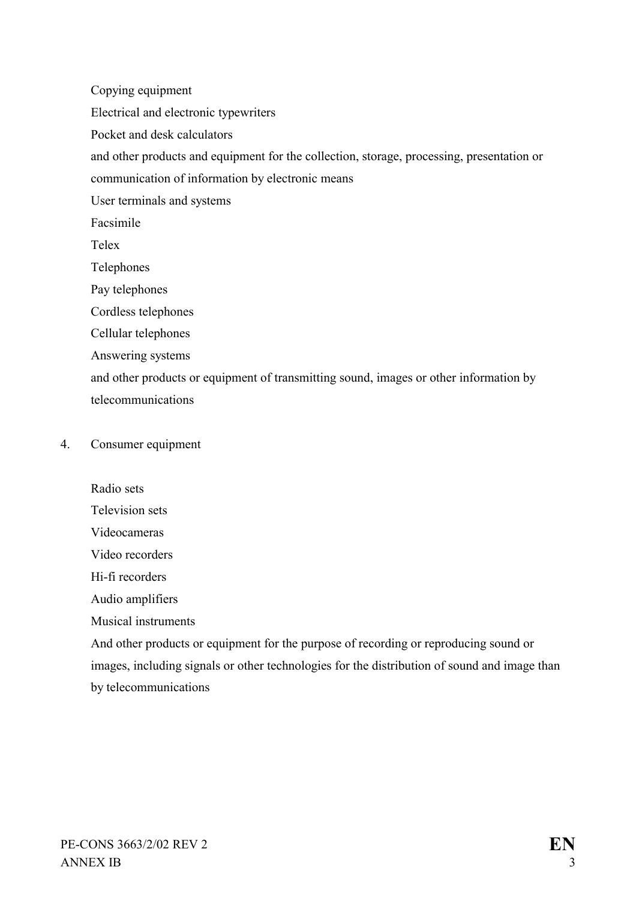Copying equipment

Electrical and electronic typewriters

Pocket and desk calculators

and other products and equipment for the collection, storage, processing, presentation or

communication of information by electronic means

User terminals and systems

Facsimile

Telex

Telephones

Pay telephones

Cordless telephones

Cellular telephones

Answering systems

and other products or equipment of transmitting sound, images or other information by telecommunications

#### 4. Consumer equipment

Radio sets Television sets Videocameras Video recorders Hi-fi recorders Audio amplifiers Musical instruments And other products or equipment for the purpose of recording or reproducing sound or images, including signals or other technologies for the distribution of sound and image than

by telecommunications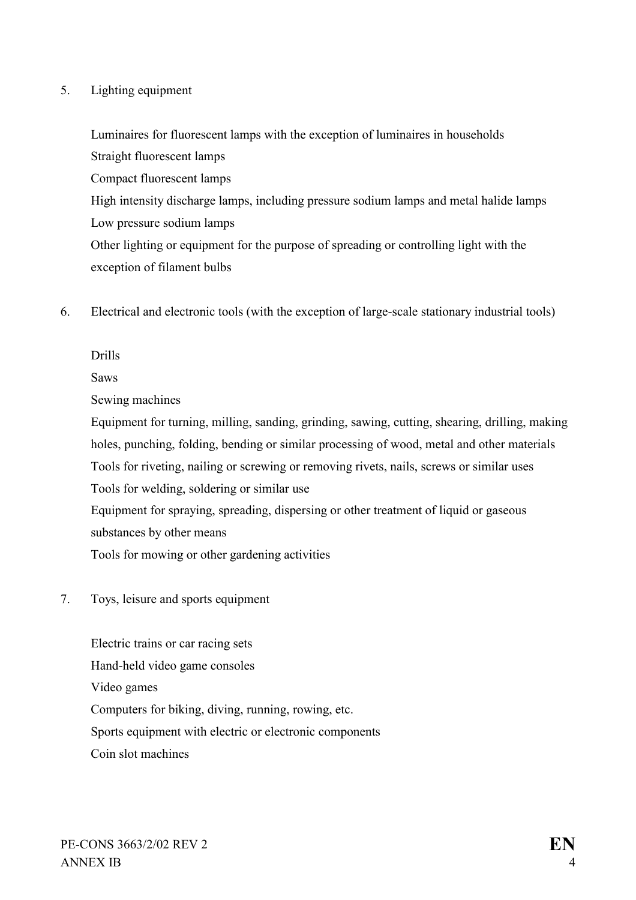#### 5. Lighting equipment

Luminaires for fluorescent lamps with the exception of luminaires in households Straight fluorescent lamps Compact fluorescent lamps High intensity discharge lamps, including pressure sodium lamps and metal halide lamps Low pressure sodium lamps Other lighting or equipment for the purpose of spreading or controlling light with the exception of filament bulbs

6. Electrical and electronic tools (with the exception of large-scale stationary industrial tools)

#### Drills

Saws

Sewing machines

Equipment for turning, milling, sanding, grinding, sawing, cutting, shearing, drilling, making holes, punching, folding, bending or similar processing of wood, metal and other materials Tools for riveting, nailing or screwing or removing rivets, nails, screws or similar uses Tools for welding, soldering or similar use Equipment for spraying, spreading, dispersing or other treatment of liquid or gaseous substances by other means

Tools for mowing or other gardening activities

7. Toys, leisure and sports equipment

Electric trains or car racing sets Hand-held video game consoles Video games Computers for biking, diving, running, rowing, etc. Sports equipment with electric or electronic components Coin slot machines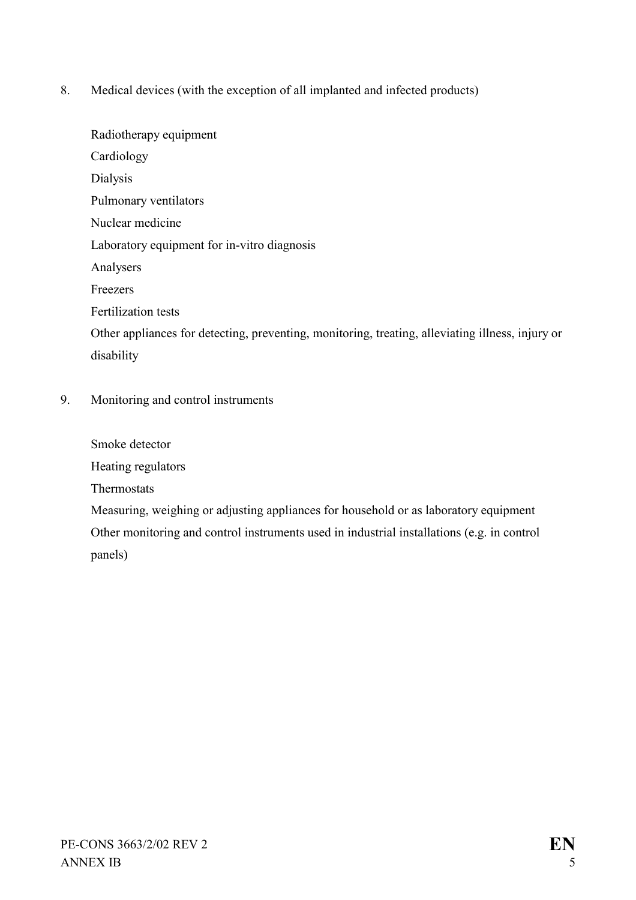8. Medical devices (with the exception of all implanted and infected products)

Radiotherapy equipment Cardiology Dialysis Pulmonary ventilators Nuclear medicine Laboratory equipment for in-vitro diagnosis Analysers Freezers Fertilization tests Other appliances for detecting, preventing, monitoring, treating, alleviating illness, injury or disability 9. Monitoring and control instruments

Smoke detector Heating regulators Thermostats Measuring, weighing or adjusting appliances for household or as laboratory equipment Other monitoring and control instruments used in industrial installations (e.g. in control panels)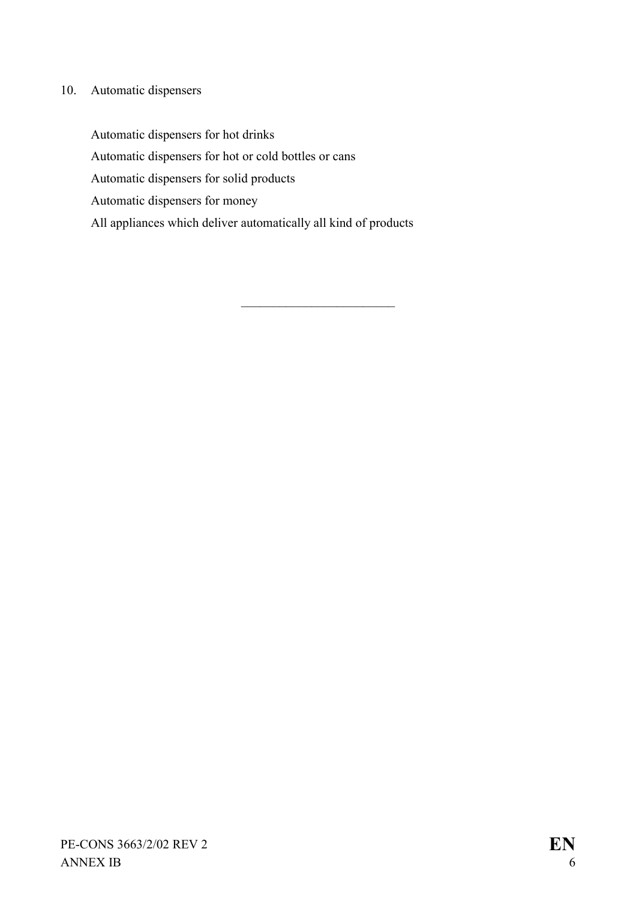# 10. Automatic dispensers

Automatic dispensers for hot drinks Automatic dispensers for hot or cold bottles or cans Automatic dispensers for solid products Automatic dispensers for money All appliances which deliver automatically all kind of products

 $\mathcal{L}_\text{max}$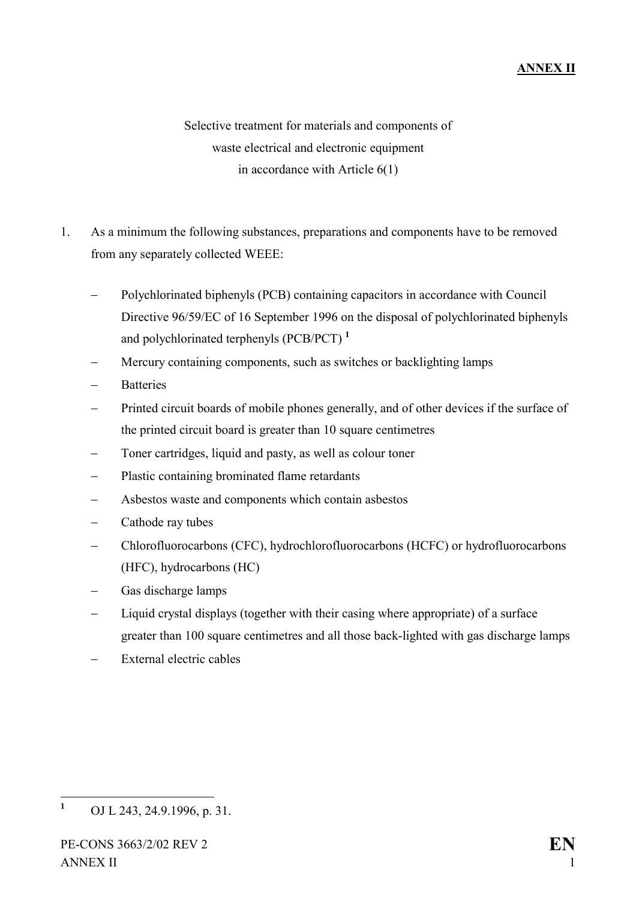# **ANNEX II**

Selective treatment for materials and components of waste electrical and electronic equipment in accordance with Article 6(1)

- 1. As a minimum the following substances, preparations and components have to be removed from any separately collected WEEE:
	- -Polychlorinated biphenyls (PCB) containing capacitors in accordance with Council Directive 96/59/EC of 16 September 1996 on the disposal of polychlorinated biphenyls and polychlorinated terphenyls (PCB/PCT) **[1](#page-43-0)**
	- -Mercury containing components, such as switches or backlighting lamps
	- -**Batteries**
	- -Printed circuit boards of mobile phones generally, and of other devices if the surface of the printed circuit board is greater than 10 square centimetres
	- -Toner cartridges, liquid and pasty, as well as colour toner
	- -Plastic containing brominated flame retardants
	- -Asbestos waste and components which contain asbestos
	- -Cathode ray tubes
	- -Chlorofluorocarbons (CFC), hydrochlorofluorocarbons (HCFC) or hydrofluorocarbons (HFC), hydrocarbons (HC)
	- -Gas discharge lamps
	- -Liquid crystal displays (together with their casing where appropriate) of a surface greater than 100 square centimetres and all those back-lighted with gas discharge lamps
	- -External electric cables

<span id="page-43-0"></span> **1** OJ L 243, 24.9.1996, p. 31.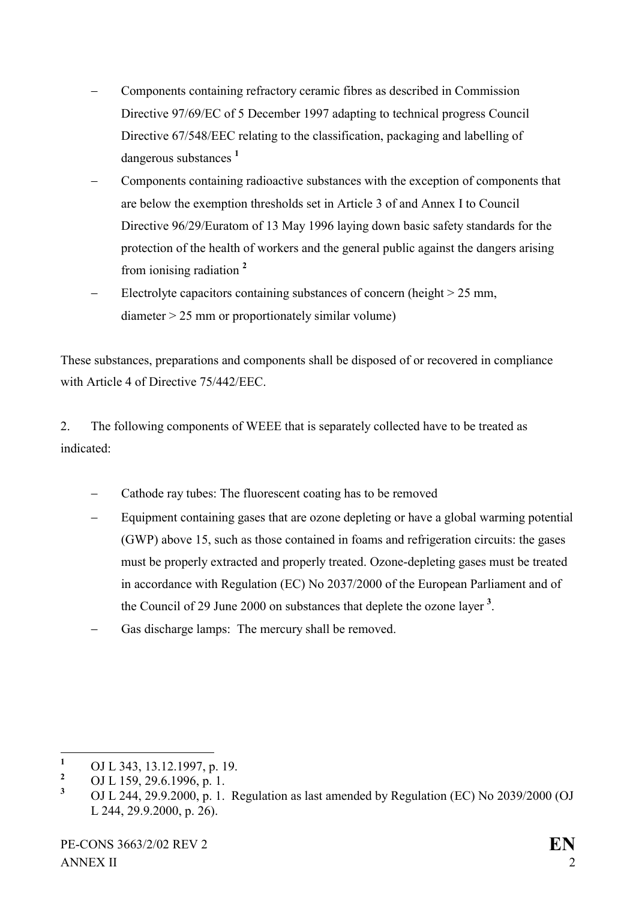- - Components containing refractory ceramic fibres as described in Commission Directive 97/69/EC of 5 December 1997 adapting to technical progress Council Directive 67/548/EEC relating to the classification, packaging and labelling of dangerous substances **[1](#page-44-0)**
- - Components containing radioactive substances with the exception of components that are below the exemption thresholds set in Article 3 of and Annex I to Council Directive 96/29/Euratom of 13 May 1996 laying down basic safety standards for the protection of the health of workers and the general public against the dangers arising from ionising radiation **[2](#page-44-1)**
- - Electrolyte capacitors containing substances of concern (height > 25 mm,  $diameter > 25$  mm or proportionately similar volume)

These substances, preparations and components shall be disposed of or recovered in compliance with Article 4 of Directive 75/442/FEC.

2. The following components of WEEE that is separately collected have to be treated as indicated:

- -Cathode ray tubes: The fluorescent coating has to be removed
- - Equipment containing gases that are ozone depleting or have a global warming potential (GWP) above 15, such as those contained in foams and refrigeration circuits: the gases must be properly extracted and properly treated. Ozone-depleting gases must be treated in accordance with Regulation (EC) No 2037/2000 of the European Parliament and of the Council of 29 June 2000 on substances that deplete the ozone layer **[3](#page-44-2)** .
- -Gas discharge lamps: The mercury shall be removed.

<span id="page-44-0"></span> **1** OJ L 343, 13.12.1997, p. 19.

<span id="page-44-1"></span>**<sup>2</sup>** OJ L 159, 29.6.1996, p. 1.

<span id="page-44-2"></span>**<sup>3</sup>** OJ L 244, 29.9.2000, p. 1. Regulation as last amended by Regulation (EC) No 2039/2000 (OJ L 244, 29.9.2000, p. 26).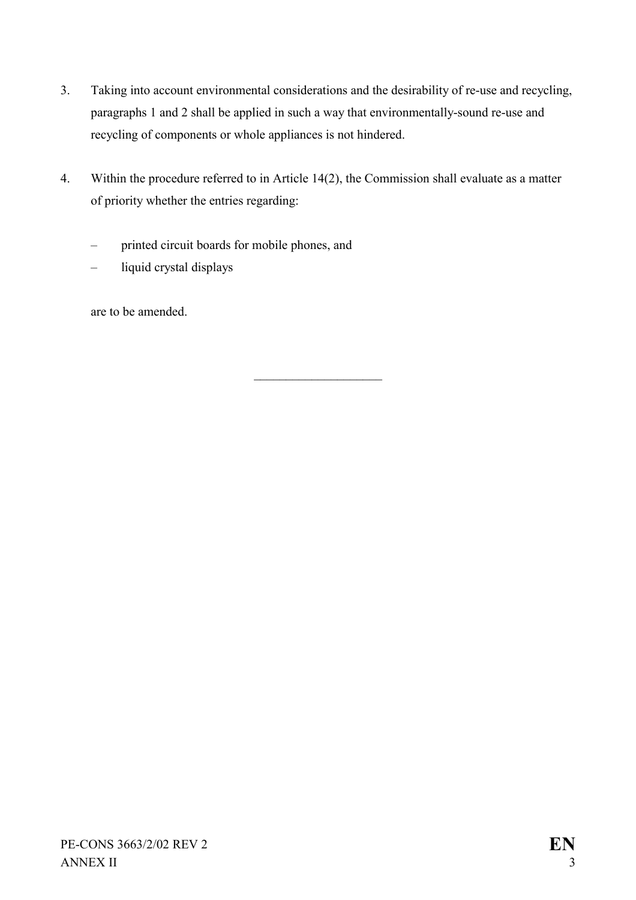- 3. Taking into account environmental considerations and the desirability of re-use and recycling, paragraphs 1 and 2 shall be applied in such a way that environmentally-sound re-use and recycling of components or whole appliances is not hindered.
- 4. Within the procedure referred to in Article 14(2), the Commission shall evaluate as a matter of priority whether the entries regarding:

 $\overline{\phantom{a}}$  , where  $\overline{\phantom{a}}$ 

- printed circuit boards for mobile phones, and
- liquid crystal displays

are to be amended.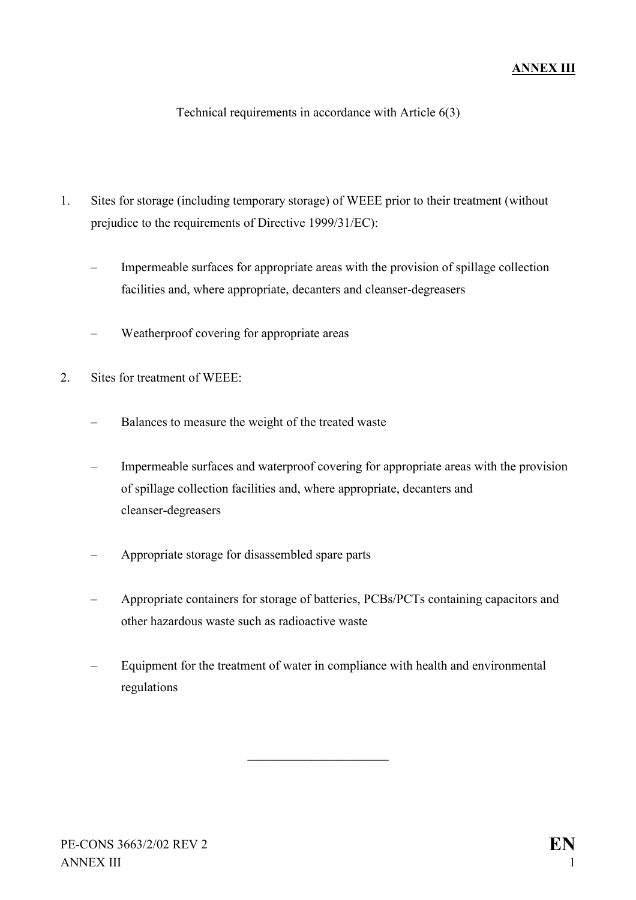Technical requirements in accordance with Article 6(3)

- 1. Sites for storage (including temporary storage) of WEEE prior to their treatment (without prejudice to the requirements of Directive 1999/31/EC):
	- Impermeable surfaces for appropriate areas with the provision of spillage collection facilities and, where appropriate, decanters and cleanser-degreasers
	- Weatherproof covering for appropriate areas
- 2. Sites for treatment of WEEE:
	- Balances to measure the weight of the treated waste
	- Impermeable surfaces and waterproof covering for appropriate areas with the provision of spillage collection facilities and, where appropriate, decanters and cleanser-degreasers
	- Appropriate storage for disassembled spare parts
	- Appropriate containers for storage of batteries, PCBs/PCTs containing capacitors and other hazardous waste such as radioactive waste
	- Equipment for the treatment of water in compliance with health and environmental regulations

 $\overline{\phantom{a}}$  , where  $\overline{\phantom{a}}$  , where  $\overline{\phantom{a}}$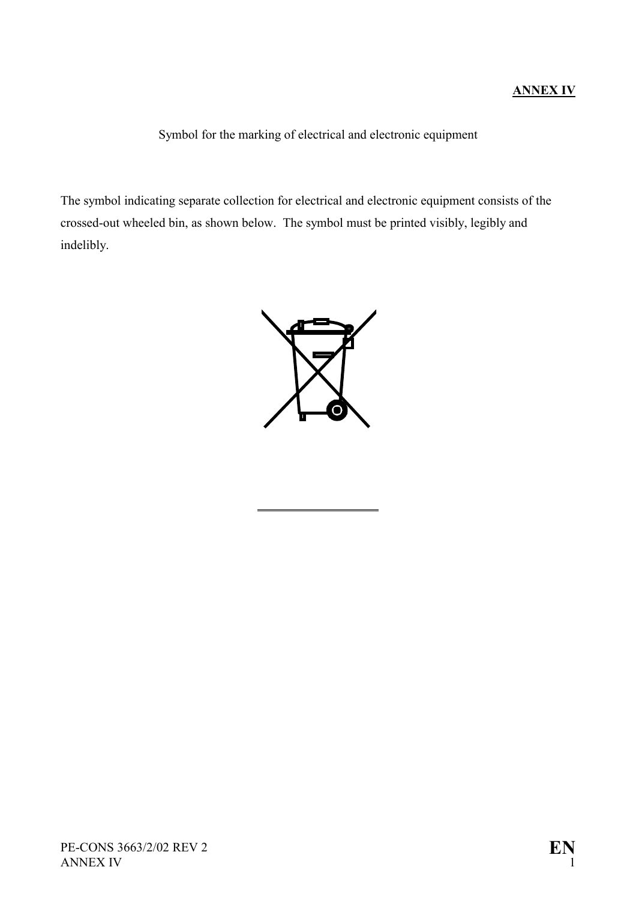### **ANNEX IV**

Symbol for the marking of electrical and electronic equipment

The symbol indicating separate collection for electrical and electronic equipment consists of the crossed-out wheeled bin, as shown below. The symbol must be printed visibly, legibly and indelibly.



 $\overline{a}$